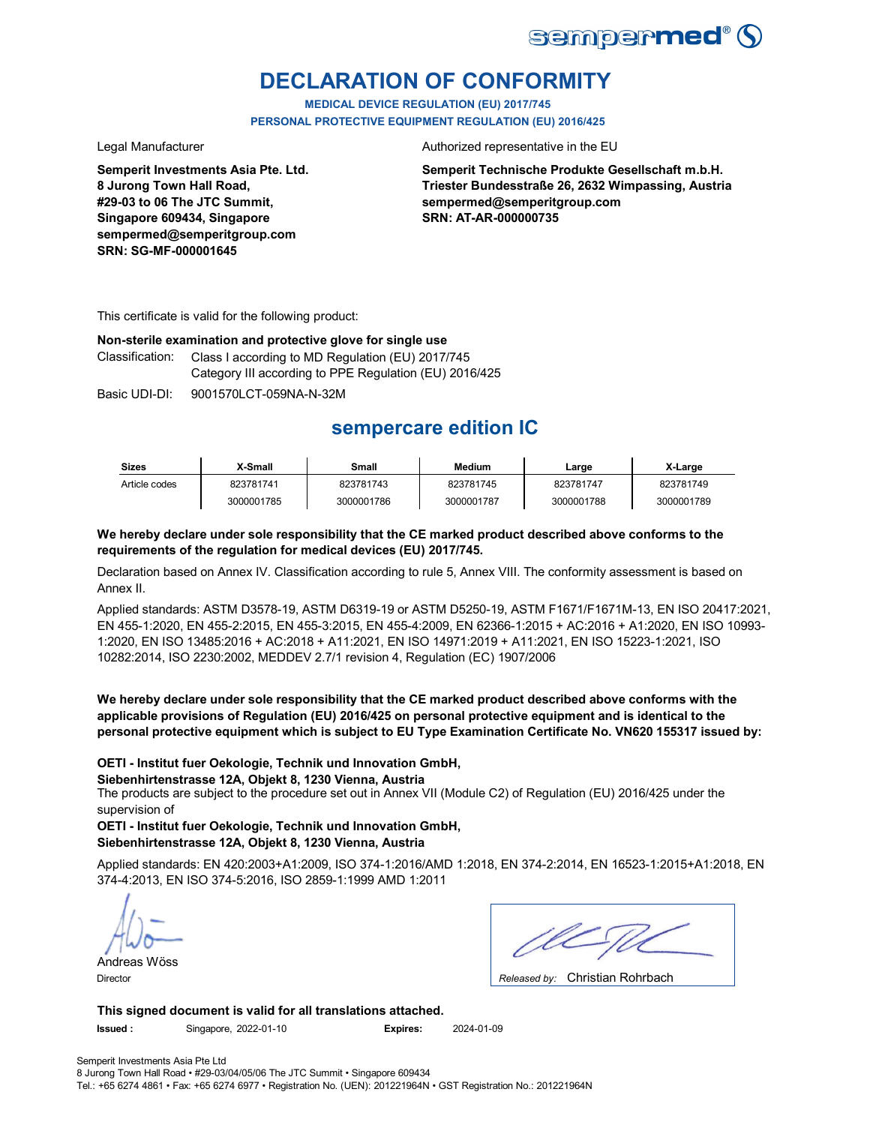

## **DECLARATION OF CONFORMITY**

**MEDICAL DEVICE REGULATION (EU) 2017/745 PERSONAL PROTECTIVE EQUIPMENT REGULATION (EU) 2016/425**

**Semperit Investments Asia Pte. Ltd. 8 Jurong Town Hall Road, #29-03 to 06 The JTC Summit, Singapore 609434, Singapore sempermed@semperitgroup.com SRN: SG-MF-000001645**

Legal Manufacturer **Authorized representative in the EU** 

**Semperit Technische Produkte Gesellschaft m.b.H. Triester Bundesstraße 26, 2632 Wimpassing, Austria sempermed@semperitgroup.com SRN: AT-AR-000000735**

This certificate is valid for the following product:

## **Non-sterile examination and protective glove for single use**

Classification: Class I according to MD Regulation (EU) 2017/745 Category III according to PPE Regulation (EU) 2016/425

Basic UDI-DI: 9001570LCT-059NA-N-32M

## **sempercare edition IC**

| <b>Sizes</b>  | X-Small    | Small      | Medium     | Large      | X-Large    |
|---------------|------------|------------|------------|------------|------------|
| Article codes | 823781741  | 823781743  | 823781745  | 823781747  | 823781749  |
|               | 3000001785 | 3000001786 | 3000001787 | 3000001788 | 3000001789 |

## **We hereby declare under sole responsibility that the CE marked product described above conforms to the requirements of the regulation for medical devices (EU) 2017/745.**

Declaration based on Annex IV. Classification according to rule 5, Annex VIII. The conformity assessment is based on Annex II.

Applied standards: ASTM D3578-19, ASTM D6319-19 or ASTM D5250-19, ASTM F1671/F1671M-13, EN ISO 20417:2021, EN 455-1:2020, EN 455-2:2015, EN 455-3:2015, EN 455-4:2009, EN 62366-1:2015 + AC:2016 + A1:2020, EN ISO 10993- 1:2020, EN ISO 13485:2016 + AC:2018 + A11:2021, EN ISO 14971:2019 + A11:2021, EN ISO 15223-1:2021, ISO 10282:2014, ISO 2230:2002, MEDDEV 2.7/1 revision 4, Regulation (EC) 1907/2006

**We hereby declare under sole responsibility that the CE marked product described above conforms with the applicable provisions of Regulation (EU) 2016/425 on personal protective equipment and is identical to the personal protective equipment which is subject to EU Type Examination Certificate No. VN620 155317 issued by:**

## **OETI - Institut fuer Oekologie, Technik und Innovation GmbH,**

**Siebenhirtenstrasse 12A, Objekt 8, 1230 Vienna, Austria**

The products are subject to the procedure set out in Annex VII (Module C2) of Regulation (EU) 2016/425 under the supervision of

**OETI - Institut fuer Oekologie, Technik und Innovation GmbH, Siebenhirtenstrasse 12A, Objekt 8, 1230 Vienna, Austria**

Applied standards: EN 420:2003+A1:2009, ISO 374-1:2016/AMD 1:2018, EN 374-2:2014, EN 16523-1:2015+A1:2018, EN 374-4:2013, EN ISO 374-5:2016, ISO 2859-1:1999 AMD 1:2011

Christian Rohrbach Director *Released by:*  Andreas Wöss

**This signed document is valid for all translations attached. Issued :** Singapore, 2022-01-10 **Expires:** 2024-01-09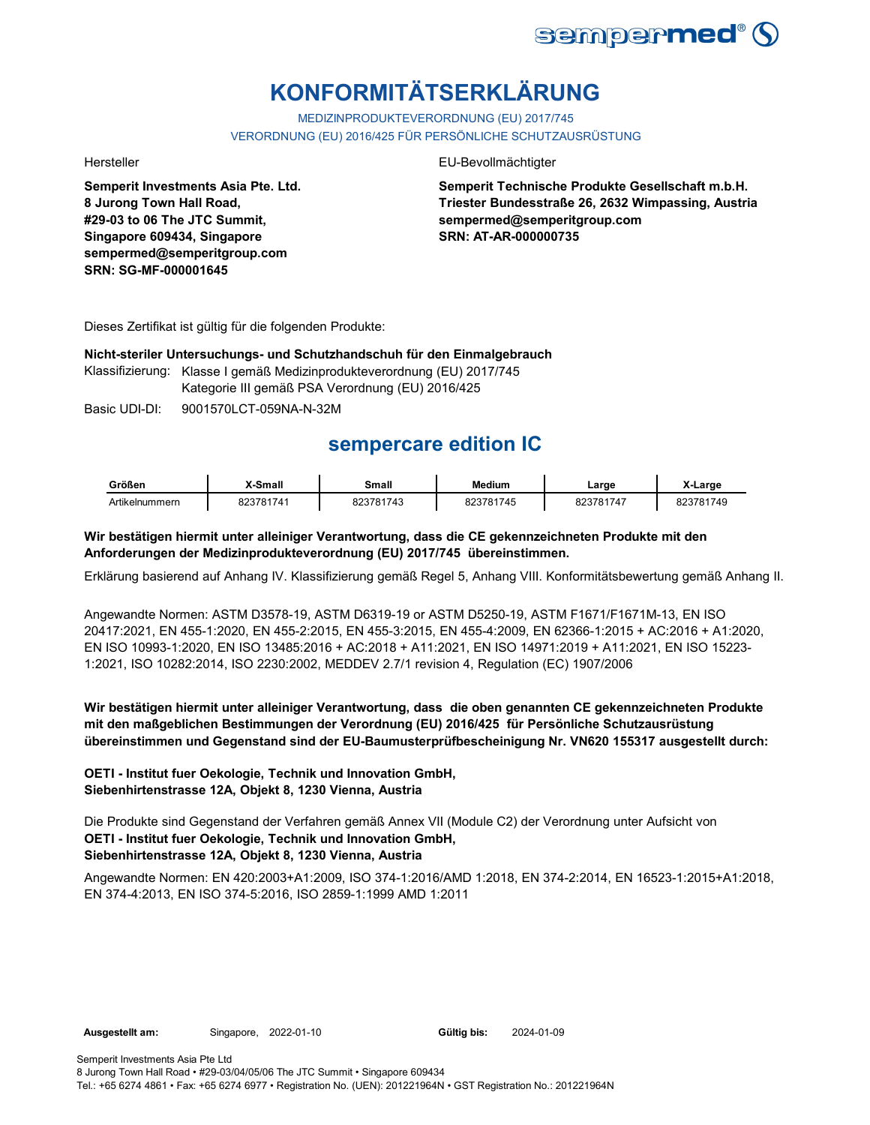

# **KONFORMITÄTSERKLÄRUNG**

MEDIZINPRODUKTEVERORDNUNG (EU) 2017/745 VERORDNUNG (EU) 2016/425 FÜR PERSÖNLICHE SCHUTZAUSRÜSTUNG

**Semperit Investments Asia Pte. Ltd. 8 Jurong Town Hall Road, #29-03 to 06 The JTC Summit, Singapore 609434, Singapore sempermed@semperitgroup.com SRN: SG-MF-000001645**

### Hersteller EU-Bevollmächtigter

**Semperit Technische Produkte Gesellschaft m.b.H. Triester Bundesstraße 26, 2632 Wimpassing, Austria sempermed@semperitgroup.com SRN: AT-AR-000000735**

Dieses Zertifikat ist gültig für die folgenden Produkte:

## **Nicht-steriler Untersuchungs- und Schutzhandschuh für den Einmalgebrauch**

Klassifizierung: Klasse I gemäß Medizinprodukteverordnung (EU) 2017/745

Kategorie III gemäß PSA Verordnung (EU) 2016/425

Basic UDI-DI: 9001570LCT-059NA-N-32M

## **sempercare edition IC**

| Größen         | K-Small   | Small     | <b>Medium</b> | Large     | X-Large   |
|----------------|-----------|-----------|---------------|-----------|-----------|
| Artikelnummern | 823781741 | 823781743 | 823781745     | 823781747 | 823781749 |

## **Wir bestätigen hiermit unter alleiniger Verantwortung, dass die CE gekennzeichneten Produkte mit den Anforderungen der Medizinprodukteverordnung (EU) 2017/745 übereinstimmen.**

Erklärung basierend auf Anhang IV. Klassifizierung gemäß Regel 5, Anhang VIII. Konformitätsbewertung gemäß Anhang II.

Angewandte Normen: ASTM D3578-19, ASTM D6319-19 or ASTM D5250-19, ASTM F1671/F1671M-13, EN ISO 20417:2021, EN 455-1:2020, EN 455-2:2015, EN 455-3:2015, EN 455-4:2009, EN 62366-1:2015 + AC:2016 + A1:2020, EN ISO 10993-1:2020, EN ISO 13485:2016 + AC:2018 + A11:2021, EN ISO 14971:2019 + A11:2021, EN ISO 15223- 1:2021, ISO 10282:2014, ISO 2230:2002, MEDDEV 2.7/1 revision 4, Regulation (EC) 1907/2006

## **Wir bestätigen hiermit unter alleiniger Verantwortung, dass die oben genannten CE gekennzeichneten Produkte mit den maßgeblichen Bestimmungen der Verordnung (EU) 2016/425 für Persönliche Schutzausrüstung übereinstimmen und Gegenstand sind der EU-Baumusterprüfbescheinigung Nr. VN620 155317 ausgestellt durch:**

## **OETI - Institut fuer Oekologie, Technik und Innovation GmbH, Siebenhirtenstrasse 12A, Objekt 8, 1230 Vienna, Austria**

**OETI - Institut fuer Oekologie, Technik und Innovation GmbH, Siebenhirtenstrasse 12A, Objekt 8, 1230 Vienna, Austria** Die Produkte sind Gegenstand der Verfahren gemäß Annex VII (Module C2) der Verordnung unter Aufsicht von

Angewandte Normen: EN 420:2003+A1:2009, ISO 374-1:2016/AMD 1:2018, EN 374-2:2014, EN 16523-1:2015+A1:2018, EN 374-4:2013, EN ISO 374-5:2016, ISO 2859-1:1999 AMD 1:2011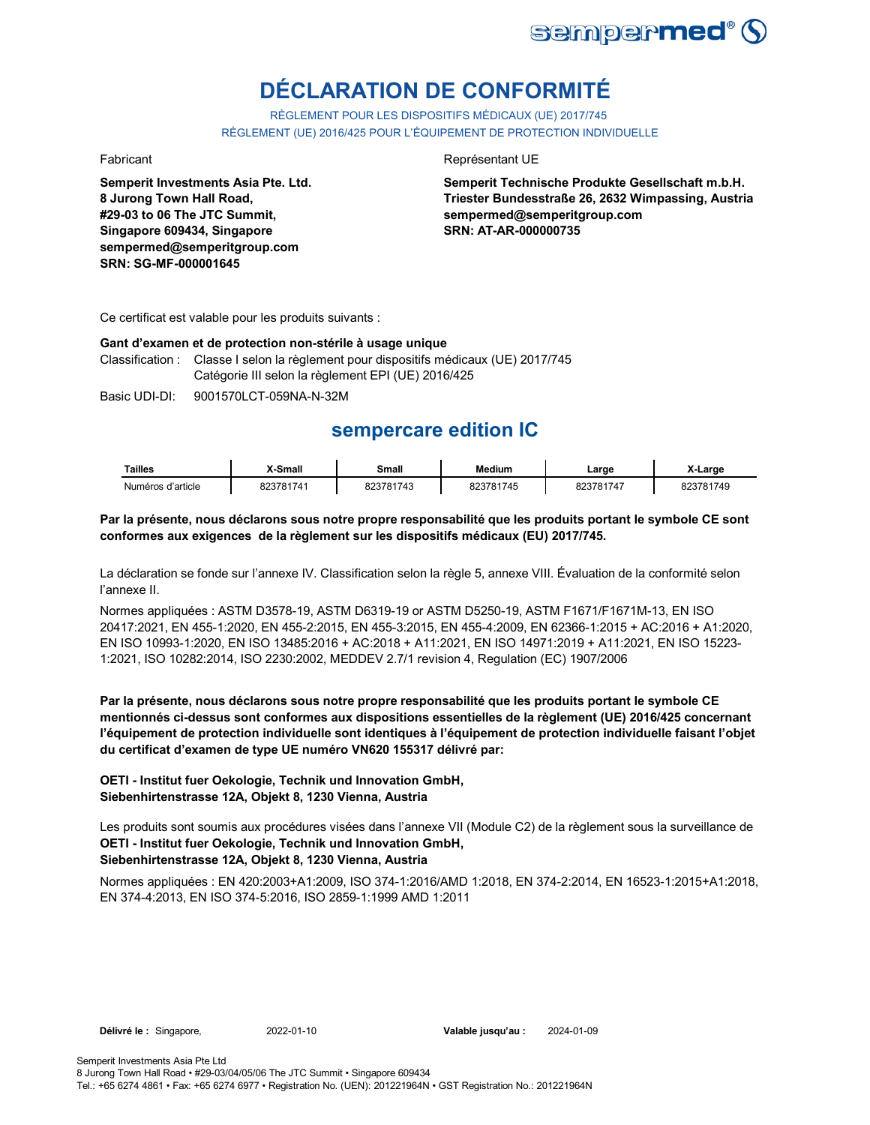

# **DÉCLARATION DE CONFORMITÉ**

RÈGLEMENT POUR LES DISPOSITIFS MÉDICAUX (UE) 2017/745 RÈGLEMENT (UE) 2016/425 POUR L'ÉQUIPEMENT DE PROTECTION INDIVIDUELLE

**Semperit Investments Asia Pte. Ltd. 8 Jurong Town Hall Road, #29-03 to 06 The JTC Summit, Singapore 609434, Singapore sempermed@semperitgroup.com SRN: SG-MF-000001645**

## Fabricant **Représentant UE**

**Semperit Technische Produkte Gesellschaft m.b.H. Triester Bundesstraße 26, 2632 Wimpassing, Austria sempermed@semperitgroup.com SRN: AT-AR-000000735**

Ce certificat est valable pour les produits suivants :

### **Gant d'examen et de protection non-stérile à usage unique**

Classification : Classe I selon la règlement pour dispositifs médicaux (UE) 2017/745 Catégorie III selon la règlement EPI (UE) 2016/425

Basic UDI-DI: 9001570LCT-059NA-N-32M

## **sempercare edition IC**

| <b>Tailles</b>    | X-Small   | Small     | Medium    | ∟arge     | X-Large   |
|-------------------|-----------|-----------|-----------|-----------|-----------|
| Numéros d'article | 823781741 | 823781743 | 823781745 | 823781747 | 823781749 |

## **Par la présente, nous déclarons sous notre propre responsabilité que les produits portant le symbole CE sont conformes aux exigences de la règlement sur les dispositifs médicaux (EU) 2017/745.**

La déclaration se fonde sur l'annexe IV. Classification selon la règle 5, annexe VIII. Évaluation de la conformité selon l'annexe II.

Normes appliquées : ASTM D3578-19, ASTM D6319-19 or ASTM D5250-19, ASTM F1671/F1671M-13, EN ISO 20417:2021, EN 455-1:2020, EN 455-2:2015, EN 455-3:2015, EN 455-4:2009, EN 62366-1:2015 + AC:2016 + A1:2020, EN ISO 10993-1:2020, EN ISO 13485:2016 + AC:2018 + A11:2021, EN ISO 14971:2019 + A11:2021, EN ISO 15223- 1:2021, ISO 10282:2014, ISO 2230:2002, MEDDEV 2.7/1 revision 4, Regulation (EC) 1907/2006

**Par la présente, nous déclarons sous notre propre responsabilité que les produits portant le symbole CE mentionnés ci-dessus sont conformes aux dispositions essentielles de la règlement (UE) 2016/425 concernant l'équipement de protection individuelle sont identiques à l'équipement de protection individuelle faisant l'objet du certificat d'examen de type UE numéro VN620 155317 délivré par:**

## **OETI - Institut fuer Oekologie, Technik und Innovation GmbH, Siebenhirtenstrasse 12A, Objekt 8, 1230 Vienna, Austria**

**OETI - Institut fuer Oekologie, Technik und Innovation GmbH, Siebenhirtenstrasse 12A, Objekt 8, 1230 Vienna, Austria** Les produits sont soumis aux procédures visées dans l'annexe VII (Module C2) de la règlement sous la surveillance de

Normes appliquées : EN 420:2003+A1:2009, ISO 374-1:2016/AMD 1:2018, EN 374-2:2014, EN 16523-1:2015+A1:2018, EN 374-4:2013, EN ISO 374-5:2016, ISO 2859-1:1999 AMD 1:2011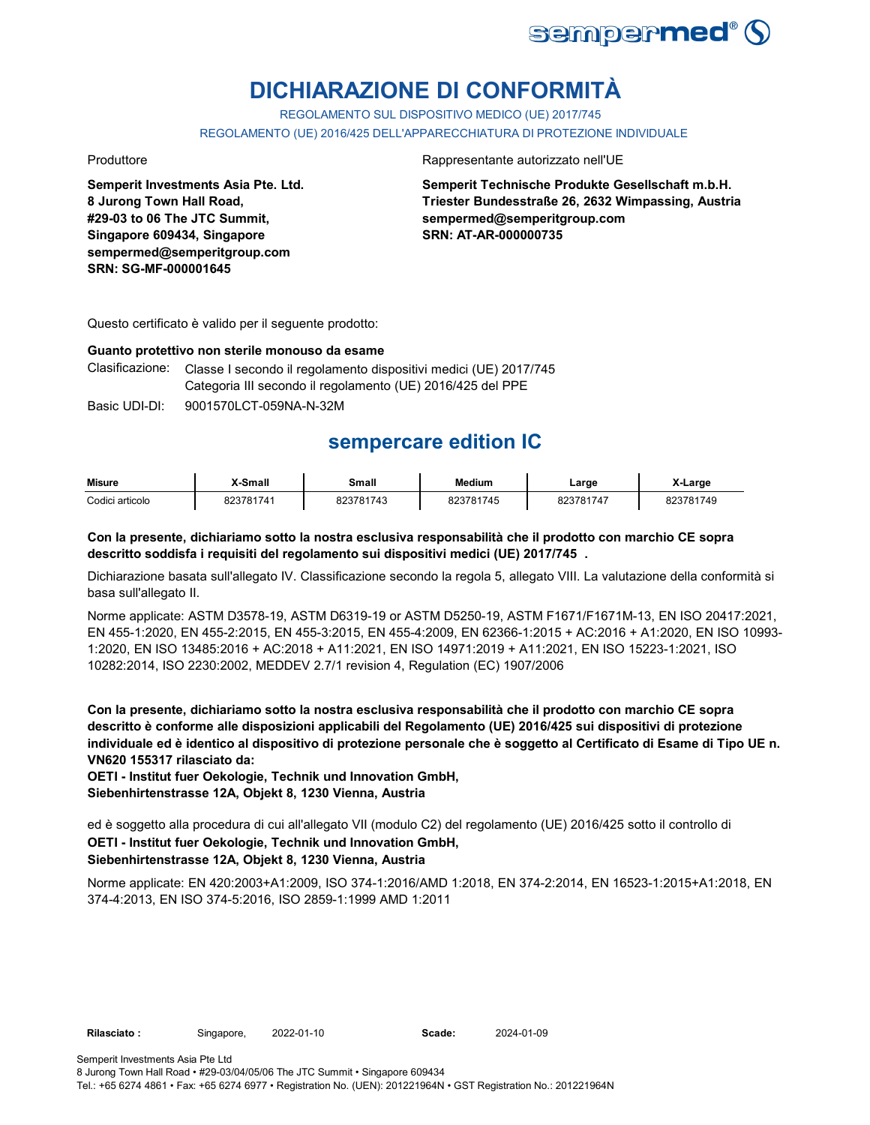

# **DICHIARAZIONE DI CONFORMITÀ**

REGOLAMENTO SUL DISPOSITIVO MEDICO (UE) 2017/745 REGOLAMENTO (UE) 2016/425 DELL'APPARECCHIATURA DI PROTEZIONE INDIVIDUALE

**Semperit Investments Asia Pte. Ltd. 8 Jurong Town Hall Road, #29-03 to 06 The JTC Summit, Singapore 609434, Singapore sempermed@semperitgroup.com SRN: SG-MF-000001645**

Produttore Rappresentante autorizzato nell'UE

**Semperit Technische Produkte Gesellschaft m.b.H. Triester Bundesstraße 26, 2632 Wimpassing, Austria sempermed@semperitgroup.com SRN: AT-AR-000000735**

Questo certificato è valido per il seguente prodotto:

#### **Guanto protettivo non sterile monouso da esame**

Clasificazione: Classe I secondo il regolamento dispositivi medici (UE) 2017/745 Categoria III secondo il regolamento (UE) 2016/425 del PPE

Basic UDI-DI: 9001570LCT-059NA-N-32M

## **sempercare edition IC**

| <b>Misure</b>   | X-Small   | Small     | <b>Medium</b> | Large     | X-Large   |
|-----------------|-----------|-----------|---------------|-----------|-----------|
| Codici articolo | 823781741 | 823781743 | 823781745     | 823781747 | 823781749 |

## **Con la presente, dichiariamo sotto la nostra esclusiva responsabilità che il prodotto con marchio CE sopra descritto soddisfa i requisiti del regolamento sui dispositivi medici (UE) 2017/745 .**

Dichiarazione basata sull'allegato IV. Classificazione secondo la regola 5, allegato VIII. La valutazione della conformità si basa sull'allegato II.

Norme applicate: ASTM D3578-19, ASTM D6319-19 or ASTM D5250-19, ASTM F1671/F1671M-13, EN ISO 20417:2021, EN 455-1:2020, EN 455-2:2015, EN 455-3:2015, EN 455-4:2009, EN 62366-1:2015 + AC:2016 + A1:2020, EN ISO 10993- 1:2020, EN ISO 13485:2016 + AC:2018 + A11:2021, EN ISO 14971:2019 + A11:2021, EN ISO 15223-1:2021, ISO 10282:2014, ISO 2230:2002, MEDDEV 2.7/1 revision 4, Regulation (EC) 1907/2006

**Con la presente, dichiariamo sotto la nostra esclusiva responsabilità che il prodotto con marchio CE sopra descritto è conforme alle disposizioni applicabili del Regolamento (UE) 2016/425 sui dispositivi di protezione individuale ed è identico al dispositivo di protezione personale che è soggetto al Certificato di Esame di Tipo UE n. VN620 155317 rilasciato da:**

**OETI - Institut fuer Oekologie, Technik und Innovation GmbH, Siebenhirtenstrasse 12A, Objekt 8, 1230 Vienna, Austria**

**OETI - Institut fuer Oekologie, Technik und Innovation GmbH,**  ed è soggetto alla procedura di cui all'allegato VII (modulo C2) del regolamento (UE) 2016/425 sotto il controllo di

## **Siebenhirtenstrasse 12A, Objekt 8, 1230 Vienna, Austria**

Norme applicate: EN 420:2003+A1:2009, ISO 374-1:2016/AMD 1:2018, EN 374-2:2014, EN 16523-1:2015+A1:2018, EN 374-4:2013, EN ISO 374-5:2016, ISO 2859-1:1999 AMD 1:2011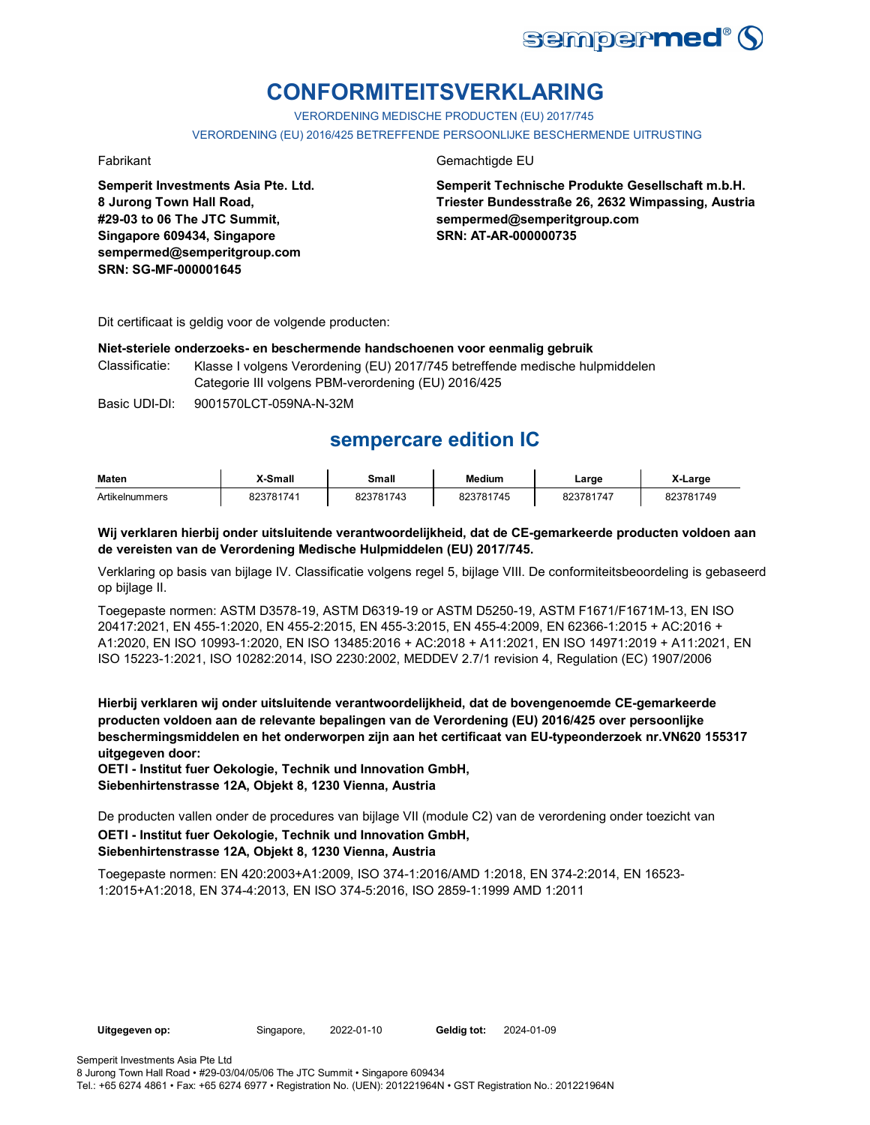

# **CONFORMITEITSVERKLARING**

VERORDENING MEDISCHE PRODUCTEN (EU) 2017/745

VERORDENING (EU) 2016/425 BETREFFENDE PERSOONLIJKE BESCHERMENDE UITRUSTING

**Semperit Investments Asia Pte. Ltd. 8 Jurong Town Hall Road, #29-03 to 06 The JTC Summit, Singapore 609434, Singapore sempermed@semperitgroup.com SRN: SG-MF-000001645**

### Fabrikant Gemachtigde EU

**Semperit Technische Produkte Gesellschaft m.b.H. Triester Bundesstraße 26, 2632 Wimpassing, Austria sempermed@semperitgroup.com SRN: AT-AR-000000735**

Dit certificaat is geldig voor de volgende producten:

## **Niet-steriele onderzoeks- en beschermende handschoenen voor eenmalig gebruik**

Classificatie: Klasse I volgens Verordening (EU) 2017/745 betreffende medische hulpmiddelen Categorie III volgens PBM-verordening (EU) 2016/425

Basic UDI-DI: 9001570LCT-059NA-N-32M

## **sempercare edition IC**

| <b>Maten</b>   | X-Small   | Small     | <b>Medium</b> | Large     | X-Large   |
|----------------|-----------|-----------|---------------|-----------|-----------|
| Artikelnummers | 823781741 | 823781743 | 823781745     | 823781747 | 823781749 |

**Wij verklaren hierbij onder uitsluitende verantwoordelijkheid, dat de CE-gemarkeerde producten voldoen aan de vereisten van de Verordening Medische Hulpmiddelen (EU) 2017/745.**

Verklaring op basis van bijlage IV. Classificatie volgens regel 5, bijlage VIII. De conformiteitsbeoordeling is gebaseerd op bijlage II.

Toegepaste normen: ASTM D3578-19, ASTM D6319-19 or ASTM D5250-19, ASTM F1671/F1671M-13, EN ISO 20417:2021, EN 455-1:2020, EN 455-2:2015, EN 455-3:2015, EN 455-4:2009, EN 62366-1:2015 + AC:2016 + A1:2020, EN ISO 10993-1:2020, EN ISO 13485:2016 + AC:2018 + A11:2021, EN ISO 14971:2019 + A11:2021, EN ISO 15223-1:2021, ISO 10282:2014, ISO 2230:2002, MEDDEV 2.7/1 revision 4, Regulation (EC) 1907/2006

**Hierbij verklaren wij onder uitsluitende verantwoordelijkheid, dat de bovengenoemde CE-gemarkeerde producten voldoen aan de relevante bepalingen van de Verordening (EU) 2016/425 over persoonlijke beschermingsmiddelen en het onderworpen zijn aan het certificaat van EU-typeonderzoek nr.VN620 155317 uitgegeven door:**

**OETI - Institut fuer Oekologie, Technik und Innovation GmbH, Siebenhirtenstrasse 12A, Objekt 8, 1230 Vienna, Austria**

De producten vallen onder de procedures van bijlage VII (module C2) van de verordening onder toezicht van

## **OETI - Institut fuer Oekologie, Technik und Innovation GmbH, Siebenhirtenstrasse 12A, Objekt 8, 1230 Vienna, Austria**

Toegepaste normen: EN 420:2003+A1:2009, ISO 374-1:2016/AMD 1:2018, EN 374-2:2014, EN 16523- 1:2015+A1:2018, EN 374-4:2013, EN ISO 374-5:2016, ISO 2859-1:1999 AMD 1:2011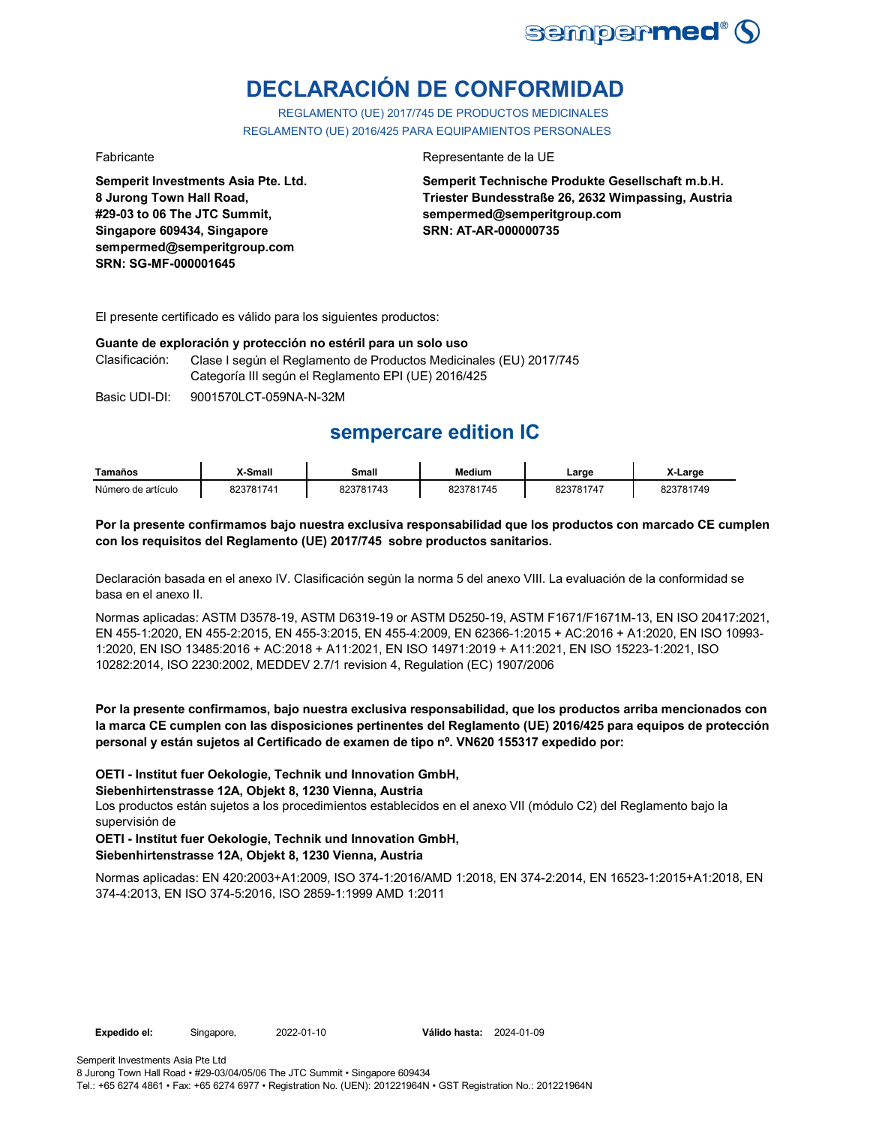

# **DECLARACIÓN DE CONFORMIDAD**

REGLAMENTO (UE) 2017/745 DE PRODUCTOS MEDICINALES REGLAMENTO (UE) 2016/425 PARA EQUIPAMIENTOS PERSONALES

**Semperit Investments Asia Pte. Ltd. 8 Jurong Town Hall Road, #29-03 to 06 The JTC Summit, Singapore 609434, Singapore sempermed@semperitgroup.com SRN: SG-MF-000001645**

### Fabricante Representante de la UE

**Semperit Technische Produkte Gesellschaft m.b.H. Triester Bundesstraße 26, 2632 Wimpassing, Austria sempermed@semperitgroup.com SRN: AT-AR-000000735**

El presente certificado es válido para los siguientes productos:

#### **Guante de exploración y protección no estéril para un solo uso**

| Clasificación: | Clase I según el Reglamento de Productos Medicinales (EU) 2017/745 |
|----------------|--------------------------------------------------------------------|
|                | Categoría III según el Reglamento EPI (UE) 2016/425                |

Basic UDI-DI: 9001570LCT-059NA-N-32M

## **sempercare edition IC**

| Tamaños            | <b>X-Small</b> | Small     | Medium    | Large     | X-Large   |
|--------------------|----------------|-----------|-----------|-----------|-----------|
| Número de artículo | 823781741      | 823781743 | 823781745 | 823781747 | 823781749 |

### **Por la presente confirmamos bajo nuestra exclusiva responsabilidad que los productos con marcado CE cumplen con los requisitos del Reglamento (UE) 2017/745 sobre productos sanitarios.**

Declaración basada en el anexo IV. Clasificación según la norma 5 del anexo VIII. La evaluación de la conformidad se basa en el anexo II.

Normas aplicadas: ASTM D3578-19, ASTM D6319-19 or ASTM D5250-19, ASTM F1671/F1671M-13, EN ISO 20417:2021, EN 455-1:2020, EN 455-2:2015, EN 455-3:2015, EN 455-4:2009, EN 62366-1:2015 + AC:2016 + A1:2020, EN ISO 10993- 1:2020, EN ISO 13485:2016 + AC:2018 + A11:2021, EN ISO 14971:2019 + A11:2021, EN ISO 15223-1:2021, ISO 10282:2014, ISO 2230:2002, MEDDEV 2.7/1 revision 4, Regulation (EC) 1907/2006

## **Por la presente confirmamos, bajo nuestra exclusiva responsabilidad, que los productos arriba mencionados con la marca CE cumplen con las disposiciones pertinentes del Reglamento (UE) 2016/425 para equipos de protección personal y están sujetos al Certificado de examen de tipo nº. VN620 155317 expedido por:**

## **OETI - Institut fuer Oekologie, Technik und Innovation GmbH,**

**Siebenhirtenstrasse 12A, Objekt 8, 1230 Vienna, Austria**

Los productos están sujetos a los procedimientos establecidos en el anexo VII (módulo C2) del Reglamento bajo la supervisión de

## **OETI - Institut fuer Oekologie, Technik und Innovation GmbH, Siebenhirtenstrasse 12A, Objekt 8, 1230 Vienna, Austria**

Normas aplicadas: EN 420:2003+A1:2009, ISO 374-1:2016/AMD 1:2018, EN 374-2:2014, EN 16523-1:2015+A1:2018, EN 374-4:2013, EN ISO 374-5:2016, ISO 2859-1:1999 AMD 1:2011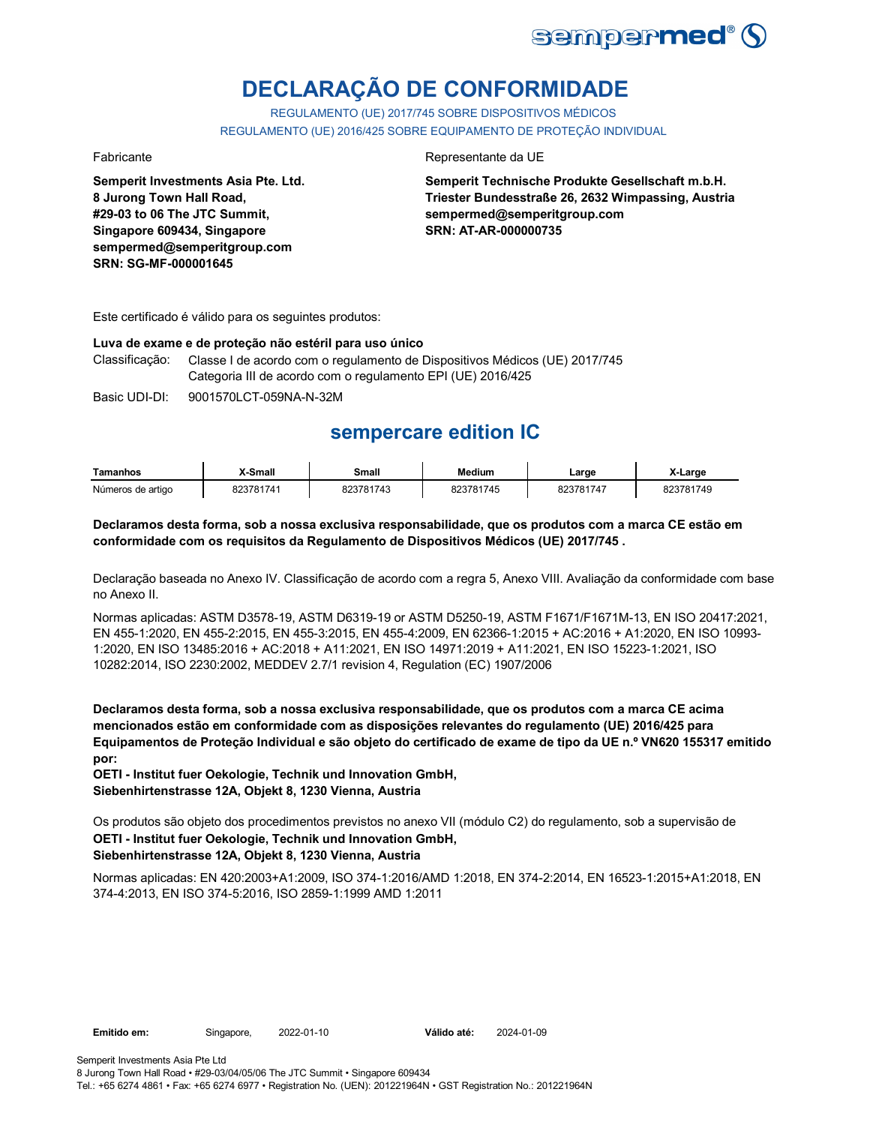

# **DECLARAÇÃO DE CONFORMIDADE**

REGULAMENTO (UE) 2017/745 SOBRE DISPOSITIVOS MÉDICOS REGULAMENTO (UE) 2016/425 SOBRE EQUIPAMENTO DE PROTEÇÃO INDIVIDUAL

**Semperit Investments Asia Pte. Ltd. 8 Jurong Town Hall Road, #29-03 to 06 The JTC Summit, Singapore 609434, Singapore sempermed@semperitgroup.com SRN: SG-MF-000001645**

## Fabricante da UE

**Semperit Technische Produkte Gesellschaft m.b.H. Triester Bundesstraße 26, 2632 Wimpassing, Austria sempermed@semperitgroup.com SRN: AT-AR-000000735**

Este certificado é válido para os seguintes produtos:

#### **Luva de exame e de proteção não estéril para uso único**

Classificação: Classe I de acordo com o regulamento de Dispositivos Médicos (UE) 2017/745 Categoria III de acordo com o regulamento EPI (UE) 2016/425

Basic UDI-DI: 9001570LCT-059NA-N-32M

## **sempercare edition IC**

| Tamanhos          | X-Small   | Small     | <b>Medium</b> | Large     | X-Large   |
|-------------------|-----------|-----------|---------------|-----------|-----------|
| Números de artigo | 823781741 | 823781743 | 823781745     | 823781747 | 823781749 |

### **Declaramos desta forma, sob a nossa exclusiva responsabilidade, que os produtos com a marca CE estão em conformidade com os requisitos da Regulamento de Dispositivos Médicos (UE) 2017/745 .**

Declaração baseada no Anexo IV. Classificação de acordo com a regra 5, Anexo VIII. Avaliação da conformidade com base no Anexo II.

Normas aplicadas: ASTM D3578-19, ASTM D6319-19 or ASTM D5250-19, ASTM F1671/F1671M-13, EN ISO 20417:2021, EN 455-1:2020, EN 455-2:2015, EN 455-3:2015, EN 455-4:2009, EN 62366-1:2015 + AC:2016 + A1:2020, EN ISO 10993- 1:2020, EN ISO 13485:2016 + AC:2018 + A11:2021, EN ISO 14971:2019 + A11:2021, EN ISO 15223-1:2021, ISO 10282:2014, ISO 2230:2002, MEDDEV 2.7/1 revision 4, Regulation (EC) 1907/2006

**Declaramos desta forma, sob a nossa exclusiva responsabilidade, que os produtos com a marca CE acima mencionados estão em conformidade com as disposições relevantes do regulamento (UE) 2016/425 para Equipamentos de Proteção Individual e são objeto do certificado de exame de tipo da UE n.º VN620 155317 emitido por:**

**OETI - Institut fuer Oekologie, Technik und Innovation GmbH, Siebenhirtenstrasse 12A, Objekt 8, 1230 Vienna, Austria**

**OETI - Institut fuer Oekologie, Technik und Innovation GmbH, Siebenhirtenstrasse 12A, Objekt 8, 1230 Vienna, Austria** Os produtos são objeto dos procedimentos previstos no anexo VII (módulo C2) do regulamento, sob a supervisão de

Normas aplicadas: EN 420:2003+A1:2009, ISO 374-1:2016/AMD 1:2018, EN 374-2:2014, EN 16523-1:2015+A1:2018, EN 374-4:2013, EN ISO 374-5:2016, ISO 2859-1:1999 AMD 1:2011

**Emitido em:** Singapore, 2022-01-10 **Válido até:** 2024-01-09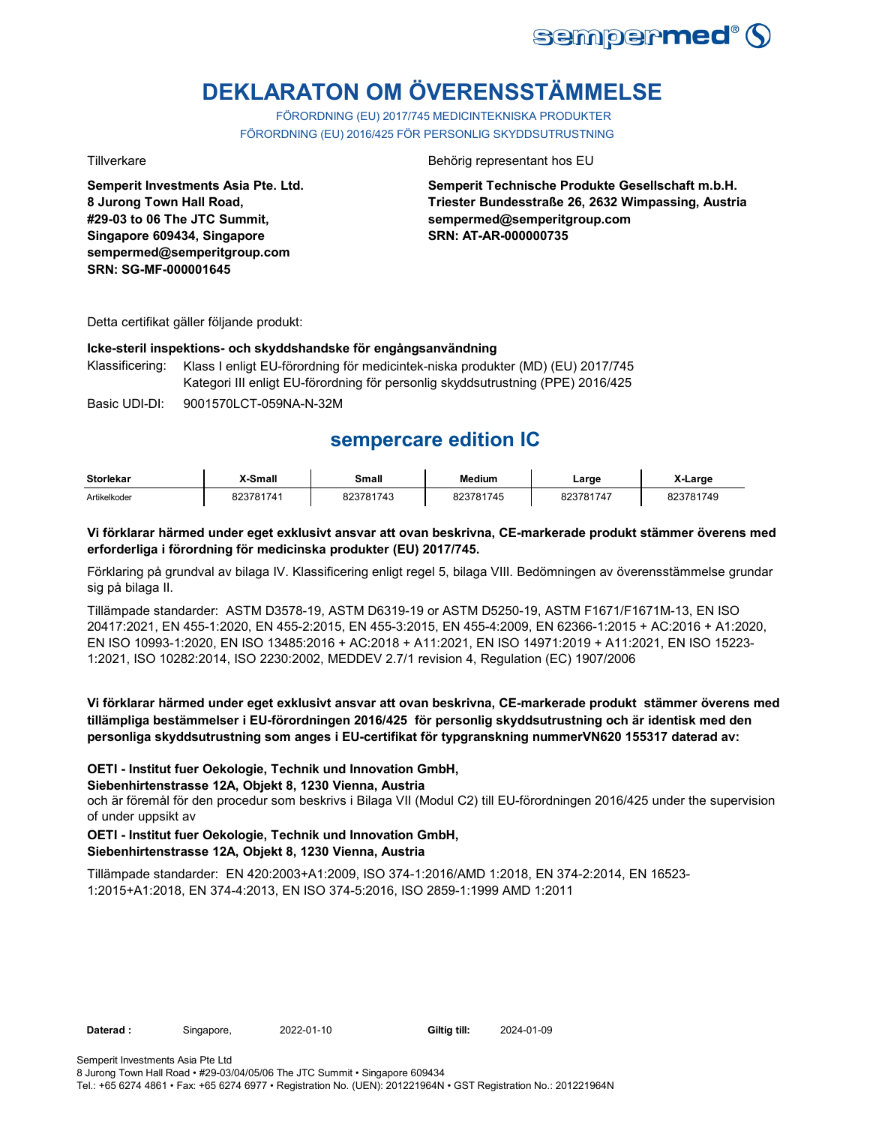

# **DEKLARATON OM ÖVERENSSTÄMMELSE**

FÖRORDNING (EU) 2017/745 MEDICINTEKNISKA PRODUKTER FÖRORDNING (EU) 2016/425 FÖR PERSONLIG SKYDDSUTRUSTNING

**Semperit Investments Asia Pte. Ltd. 8 Jurong Town Hall Road, #29-03 to 06 The JTC Summit, Singapore 609434, Singapore sempermed@semperitgroup.com SRN: SG-MF-000001645**

### Tillverkare **Behörig representant hos EU**

**Semperit Technische Produkte Gesellschaft m.b.H. Triester Bundesstraße 26, 2632 Wimpassing, Austria sempermed@semperitgroup.com SRN: AT-AR-000000735**

Detta certifikat gäller följande produkt:

### **Icke-steril inspektions- och skyddshandske för engångsanvändning**

Klassificering: Klass I enligt EU-förordning för medicintek-niska produkter (MD) (EU) 2017/745 Kategori III enligt EU-förordning för personlig skyddsutrustning (PPE) 2016/425

Basic UDI-DI: 9001570LCT-059NA-N-32M

## **sempercare edition IC**

| <b>Storlekar</b> | X-Small   | Small     | <b>Medium</b> | Large     | X-Larɑe   |
|------------------|-----------|-----------|---------------|-----------|-----------|
| Artikelkoder     | 823781741 | 323781743 | 823781745     | 823781747 | 823781749 |

## **Vi förklarar härmed under eget exklusivt ansvar att ovan beskrivna, CE-markerade produkt stämmer överens med erforderliga i förordning för medicinska produkter (EU) 2017/745.**

Förklaring på grundval av bilaga IV. Klassificering enligt regel 5, bilaga VIII. Bedömningen av överensstämmelse grundar sig på bilaga II.

Tillämpade standarder: ASTM D3578-19, ASTM D6319-19 or ASTM D5250-19, ASTM F1671/F1671M-13, EN ISO 20417:2021, EN 455-1:2020, EN 455-2:2015, EN 455-3:2015, EN 455-4:2009, EN 62366-1:2015 + AC:2016 + A1:2020, EN ISO 10993-1:2020, EN ISO 13485:2016 + AC:2018 + A11:2021, EN ISO 14971:2019 + A11:2021, EN ISO 15223- 1:2021, ISO 10282:2014, ISO 2230:2002, MEDDEV 2.7/1 revision 4, Regulation (EC) 1907/2006

## **Vi förklarar härmed under eget exklusivt ansvar att ovan beskrivna, CE-markerade produkt stämmer överens med tillämpliga bestämmelser i EU-förordningen 2016/425 för personlig skyddsutrustning och är identisk med den personliga skyddsutrustning som anges i EU-certifikat för typgranskning nummerVN620 155317 daterad av:**

## **OETI - Institut fuer Oekologie, Technik und Innovation GmbH,**

#### **Siebenhirtenstrasse 12A, Objekt 8, 1230 Vienna, Austria**

och är föremål för den procedur som beskrivs i Bilaga VII (Modul C2) till EU-förordningen 2016/425 under the supervision of under uppsikt av

## **OETI - Institut fuer Oekologie, Technik und Innovation GmbH, Siebenhirtenstrasse 12A, Objekt 8, 1230 Vienna, Austria**

Tillämpade standarder: EN 420:2003+A1:2009, ISO 374-1:2016/AMD 1:2018, EN 374-2:2014, EN 16523- 1:2015+A1:2018, EN 374-4:2013, EN ISO 374-5:2016, ISO 2859-1:1999 AMD 1:2011

**Daterad :** Singapore, 2022-01-10 **Giltig till:** 2024-01-09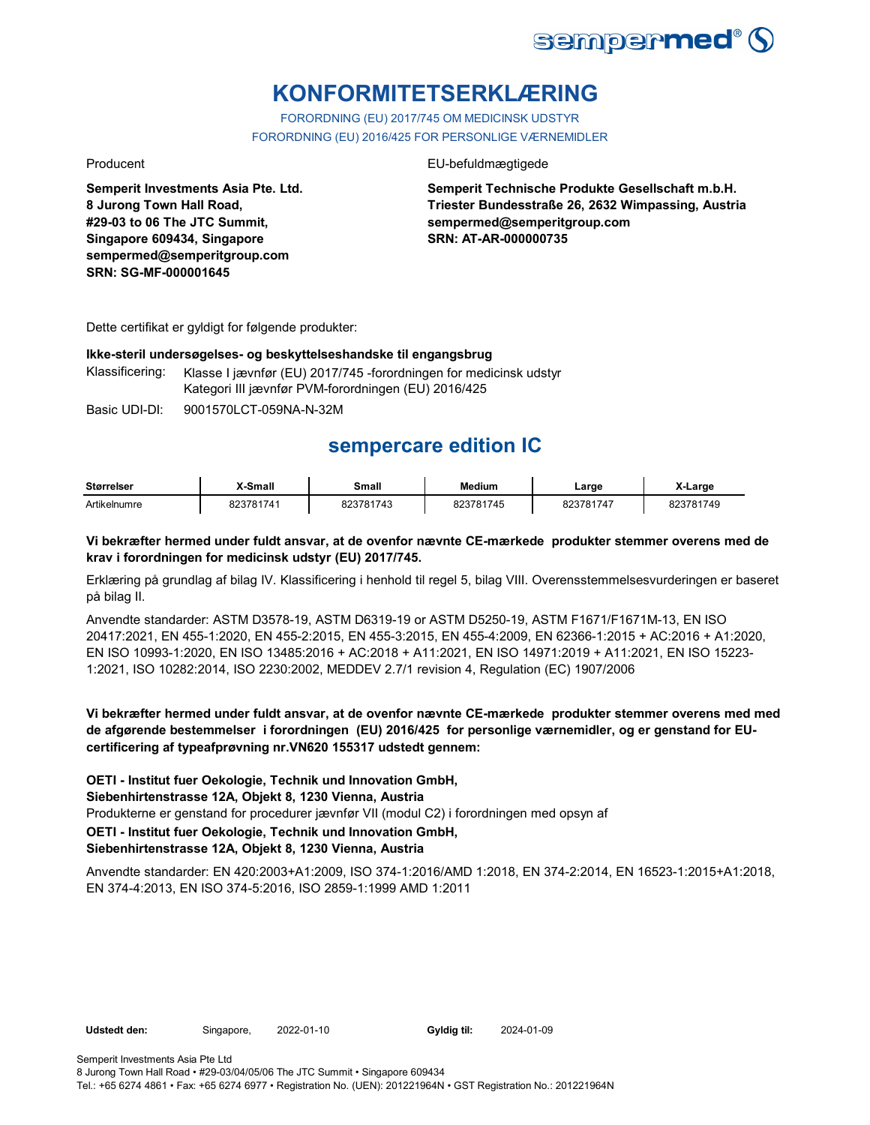

# **KONFORMITETSERKLÆRING**

FORORDNING (EU) 2017/745 OM MEDICINSK UDSTYR FORORDNING (EU) 2016/425 FOR PERSONLIGE VÆRNEMIDLER

**Semperit Investments Asia Pte. Ltd. 8 Jurong Town Hall Road, #29-03 to 06 The JTC Summit, Singapore 609434, Singapore sempermed@semperitgroup.com SRN: SG-MF-000001645**

## Producent **EU-befuldmægtigede**

**Semperit Technische Produkte Gesellschaft m.b.H. Triester Bundesstraße 26, 2632 Wimpassing, Austria sempermed@semperitgroup.com SRN: AT-AR-000000735**

Dette certifikat er gyldigt for følgende produkter:

### **Ikke-steril undersøgelses- og beskyttelseshandske til engangsbrug**

Klassificering: Klasse I jævnfør (EU) 2017/745 -forordningen for medicinsk udstyr Kategori III jævnfør PVM-forordningen (EU) 2016/425

Basic UDI-DI: 9001570LCT-059NA-N-32M

## **sempercare edition IC**

| <b>Størrelser</b> | X-Small   | Small     | <b>Medium</b> | Large     | X-Large   |
|-------------------|-----------|-----------|---------------|-----------|-----------|
| Artikelnumre      | 823781741 | 823781743 | 823781745     | 823781747 | 823781749 |

## **Vi bekræfter hermed under fuldt ansvar, at de ovenfor nævnte CE-mærkede produkter stemmer overens med de krav i forordningen for medicinsk udstyr (EU) 2017/745.**

Erklæring på grundlag af bilag IV. Klassificering i henhold til regel 5, bilag VIII. Overensstemmelsesvurderingen er baseret på bilag II.

Anvendte standarder: ASTM D3578-19, ASTM D6319-19 or ASTM D5250-19, ASTM F1671/F1671M-13, EN ISO 20417:2021, EN 455-1:2020, EN 455-2:2015, EN 455-3:2015, EN 455-4:2009, EN 62366-1:2015 + AC:2016 + A1:2020, EN ISO 10993-1:2020, EN ISO 13485:2016 + AC:2018 + A11:2021, EN ISO 14971:2019 + A11:2021, EN ISO 15223- 1:2021, ISO 10282:2014, ISO 2230:2002, MEDDEV 2.7/1 revision 4, Regulation (EC) 1907/2006

**Vi bekræfter hermed under fuldt ansvar, at de ovenfor nævnte CE-mærkede produkter stemmer overens med med de afgørende bestemmelser i forordningen (EU) 2016/425 for personlige værnemidler, og er genstand for EUcertificering af typeafprøvning nr.VN620 155317 udstedt gennem:**

**OETI - Institut fuer Oekologie, Technik und Innovation GmbH,** 

**Siebenhirtenstrasse 12A, Objekt 8, 1230 Vienna, Austria**

Produkterne er genstand for procedurer jævnfør VII (modul C2) i forordningen med opsyn af

**OETI - Institut fuer Oekologie, Technik und Innovation GmbH,** 

## **Siebenhirtenstrasse 12A, Objekt 8, 1230 Vienna, Austria**

Anvendte standarder: EN 420:2003+A1:2009, ISO 374-1:2016/AMD 1:2018, EN 374-2:2014, EN 16523-1:2015+A1:2018, EN 374-4:2013, EN ISO 374-5:2016, ISO 2859-1:1999 AMD 1:2011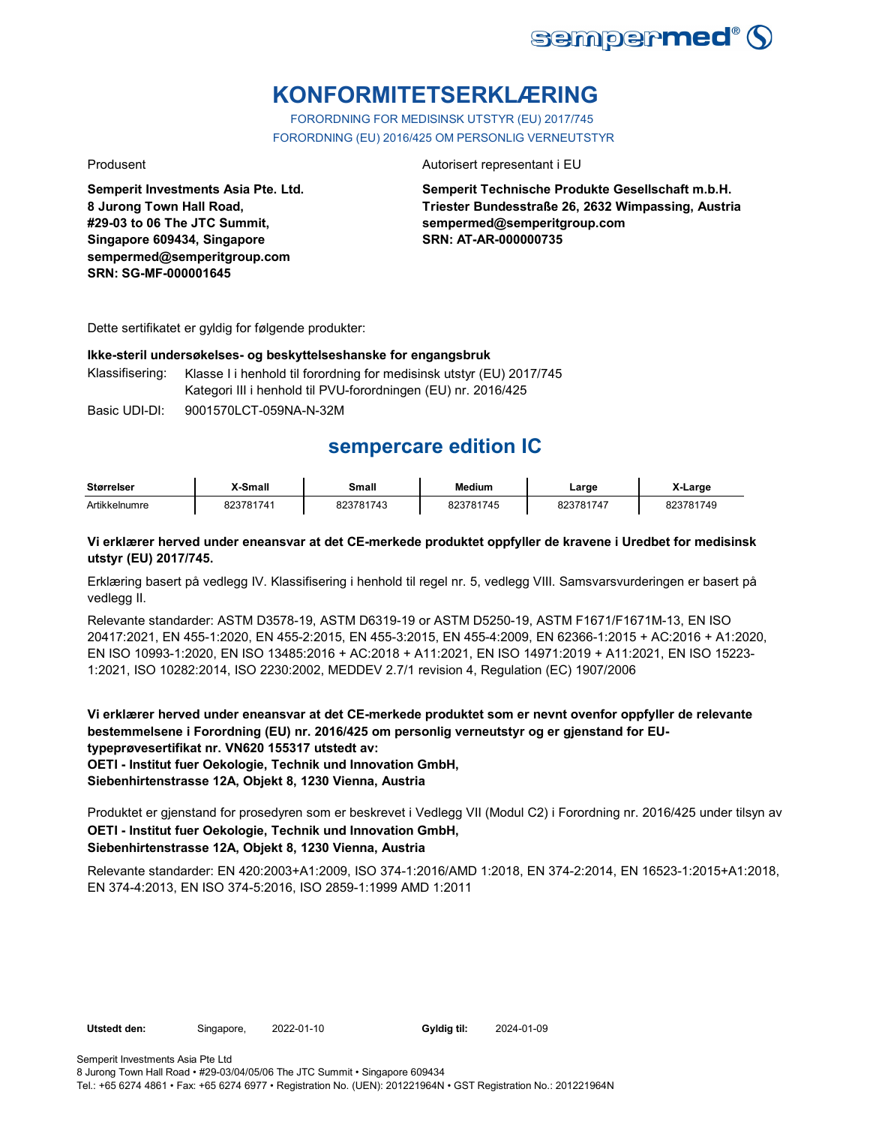

## **KONFORMITETSERKLÆRING**

FORORDNING FOR MEDISINSK UTSTYR (EU) 2017/745 FORORDNING (EU) 2016/425 OM PERSONLIG VERNEUTSTYR

**Semperit Investments Asia Pte. Ltd. 8 Jurong Town Hall Road, #29-03 to 06 The JTC Summit, Singapore 609434, Singapore sempermed@semperitgroup.com SRN: SG-MF-000001645**

### Produsent **Autorisert representant i EU**

**Semperit Technische Produkte Gesellschaft m.b.H. Triester Bundesstraße 26, 2632 Wimpassing, Austria sempermed@semperitgroup.com SRN: AT-AR-000000735**

Dette sertifikatet er gyldig for følgende produkter:

### **Ikke-steril undersøkelses- og beskyttelseshanske for engangsbruk**

Klassifisering: Klasse I i henhold til forordning for medisinsk utstyr (EU) 2017/745 Kategori III i henhold til PVU-forordningen (EU) nr. 2016/425

Basic UDI-DI: 9001570LCT-059NA-N-32M

## **sempercare edition IC**

| <b>Størrelser</b> | X-Small   | Small     | <b>Medium</b> | Large     | X-Large   |
|-------------------|-----------|-----------|---------------|-----------|-----------|
| Artikkelnumre     | 823781741 | 823781743 | 823781745     | 823781747 | 823781749 |

## **Vi erklærer herved under eneansvar at det CE-merkede produktet oppfyller de kravene i Uredbet for medisinsk utstyr (EU) 2017/745.**

Erklæring basert på vedlegg IV. Klassifisering i henhold til regel nr. 5, vedlegg VIII. Samsvarsvurderingen er basert på vedlegg II.

Relevante standarder: ASTM D3578-19, ASTM D6319-19 or ASTM D5250-19, ASTM F1671/F1671M-13, EN ISO 20417:2021, EN 455-1:2020, EN 455-2:2015, EN 455-3:2015, EN 455-4:2009, EN 62366-1:2015 + AC:2016 + A1:2020, EN ISO 10993-1:2020, EN ISO 13485:2016 + AC:2018 + A11:2021, EN ISO 14971:2019 + A11:2021, EN ISO 15223- 1:2021, ISO 10282:2014, ISO 2230:2002, MEDDEV 2.7/1 revision 4, Regulation (EC) 1907/2006

**Vi erklærer herved under eneansvar at det CE-merkede produktet som er nevnt ovenfor oppfyller de relevante bestemmelsene i Forordning (EU) nr. 2016/425 om personlig verneutstyr og er gjenstand for EUtypeprøvesertifikat nr. VN620 155317 utstedt av:**

**OETI - Institut fuer Oekologie, Technik und Innovation GmbH,** 

**Siebenhirtenstrasse 12A, Objekt 8, 1230 Vienna, Austria**

**OETI - Institut fuer Oekologie, Technik und Innovation GmbH, Siebenhirtenstrasse 12A, Objekt 8, 1230 Vienna, Austria** Produktet er gjenstand for prosedyren som er beskrevet i Vedlegg VII (Modul C2) i Forordning nr. 2016/425 under tilsyn av

Relevante standarder: EN 420:2003+A1:2009, ISO 374-1:2016/AMD 1:2018, EN 374-2:2014, EN 16523-1:2015+A1:2018, EN 374-4:2013, EN ISO 374-5:2016, ISO 2859-1:1999 AMD 1:2011

**Utstedt den:** Singapore, 2022-01-10 **Gyldig til:** 2024-01-09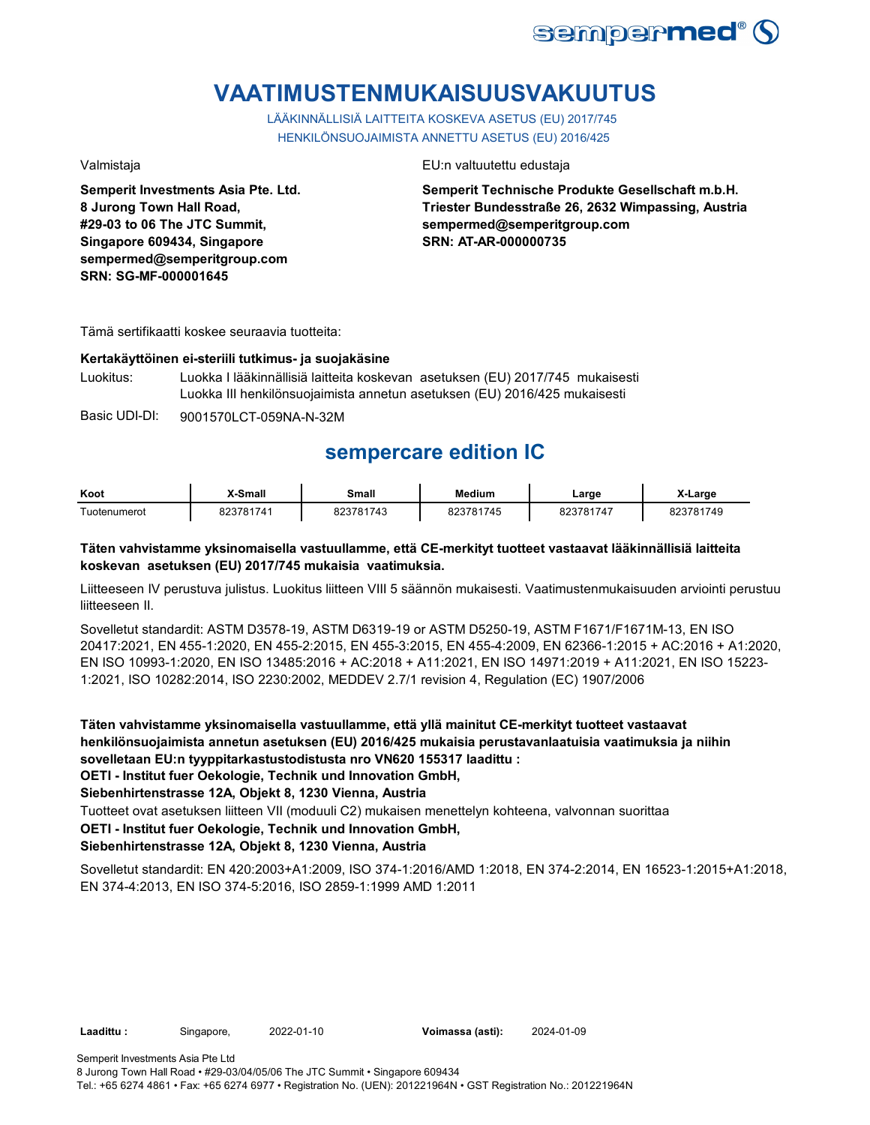

# **VAATIMUSTENMUKAISUUSVAKUUTUS**

LÄÄKINNÄLLISIÄ LAITTEITA KOSKEVA ASETUS (EU) 2017/745 HENKILÖNSUOJAIMISTA ANNETTU ASETUS (EU) 2016/425

**Semperit Investments Asia Pte. Ltd. 8 Jurong Town Hall Road, #29-03 to 06 The JTC Summit, Singapore 609434, Singapore sempermed@semperitgroup.com SRN: SG-MF-000001645**

Valmistaja EU:n valtuutettu edustaja

**Semperit Technische Produkte Gesellschaft m.b.H. Triester Bundesstraße 26, 2632 Wimpassing, Austria sempermed@semperitgroup.com SRN: AT-AR-000000735**

Tämä sertifikaatti koskee seuraavia tuotteita:

## **Kertakäyttöinen ei-steriili tutkimus- ja suojakäsine**

Luokitus: Luokka I lääkinnällisiä laitteita koskevan asetuksen (EU) 2017/745 mukaisesti Luokka III henkilönsuojaimista annetun asetuksen (EU) 2016/425 mukaisesti

Basic UDI-DI: 9001570LCT-059NA-N-32M

## **sempercare edition IC**

| Koot         | X-Small      | Small  | <b>Medium</b> | ∟arge             | ∟arɑe  |
|--------------|--------------|--------|---------------|-------------------|--------|
| Tuotenumerot | 781741<br>nn | 781743 | 1745<br>791   | 1747<br>704<br>nn | 781749 |

## **Täten vahvistamme yksinomaisella vastuullamme, että CE-merkityt tuotteet vastaavat lääkinnällisiä laitteita koskevan asetuksen (EU) 2017/745 mukaisia vaatimuksia.**

Liitteeseen IV perustuva julistus. Luokitus liitteen VIII 5 säännön mukaisesti. Vaatimustenmukaisuuden arviointi perustuu liitteeseen II.

Sovelletut standardit: ASTM D3578-19, ASTM D6319-19 or ASTM D5250-19, ASTM F1671/F1671M-13, EN ISO 20417:2021, EN 455-1:2020, EN 455-2:2015, EN 455-3:2015, EN 455-4:2009, EN 62366-1:2015 + AC:2016 + A1:2020, EN ISO 10993-1:2020, EN ISO 13485:2016 + AC:2018 + A11:2021, EN ISO 14971:2019 + A11:2021, EN ISO 15223- 1:2021, ISO 10282:2014, ISO 2230:2002, MEDDEV 2.7/1 revision 4, Regulation (EC) 1907/2006

**Täten vahvistamme yksinomaisella vastuullamme, että yllä mainitut CE-merkityt tuotteet vastaavat henkilönsuojaimista annetun asetuksen (EU) 2016/425 mukaisia perustavanlaatuisia vaatimuksia ja niihin sovelletaan EU:n tyyppitarkastustodistusta nro VN620 155317 laadittu :**

**OETI - Institut fuer Oekologie, Technik und Innovation GmbH,** 

**Siebenhirtenstrasse 12A, Objekt 8, 1230 Vienna, Austria**

Tuotteet ovat asetuksen liitteen VII (moduuli C2) mukaisen menettelyn kohteena, valvonnan suorittaa

**OETI - Institut fuer Oekologie, Technik und Innovation GmbH,** 

## **Siebenhirtenstrasse 12A, Objekt 8, 1230 Vienna, Austria**

Sovelletut standardit: EN 420:2003+A1:2009, ISO 374-1:2016/AMD 1:2018, EN 374-2:2014, EN 16523-1:2015+A1:2018, EN 374-4:2013, EN ISO 374-5:2016, ISO 2859-1:1999 AMD 1:2011

**Laadittu :** Singapore, 2022-01-10 **Voimassa (asti):** 2024-01-09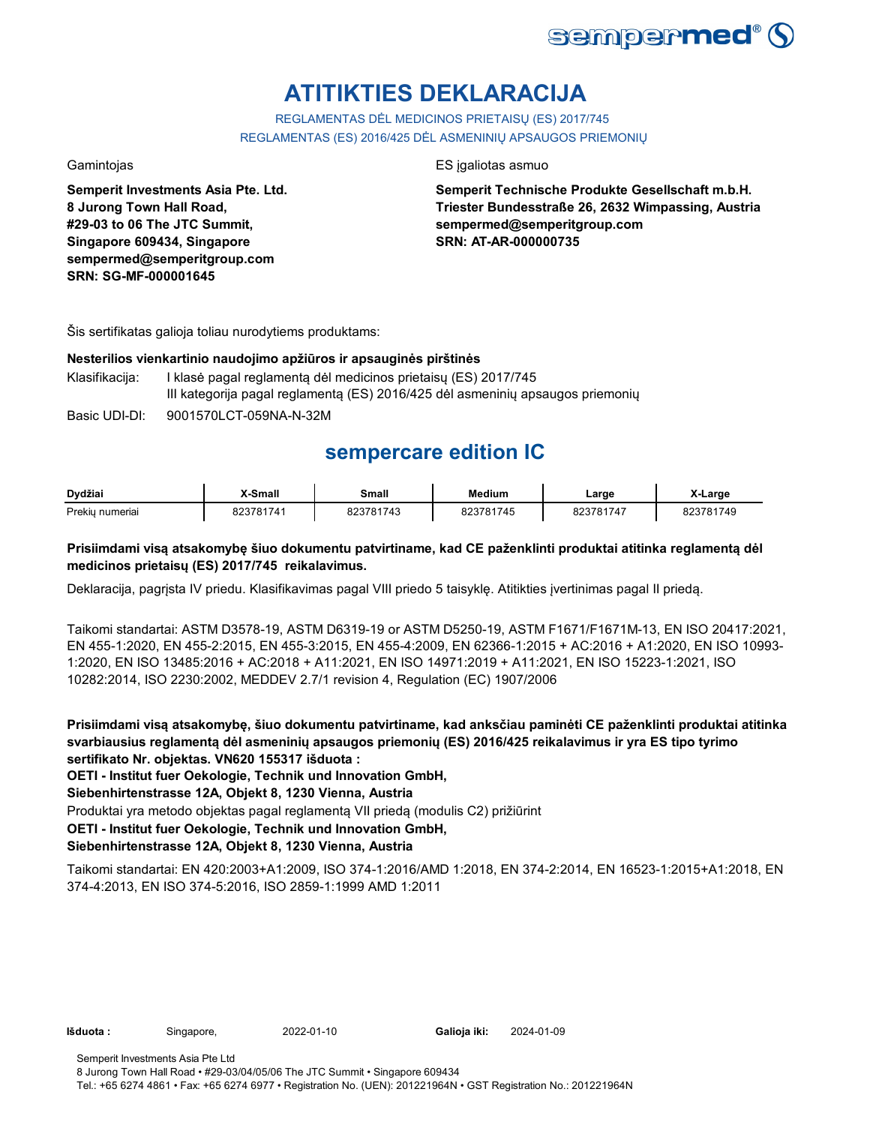

# **ATITIKTIES DEKLARACIJA**

REGLAMENTAS DĖL MEDICINOS PRIETAISŲ (ES) 2017/745 REGLAMENTAS (ES) 2016/425 DĖL ASMENINIŲ APSAUGOS PRIEMONIŲ

**Semperit Investments Asia Pte. Ltd. 8 Jurong Town Hall Road, #29-03 to 06 The JTC Summit, Singapore 609434, Singapore sempermed@semperitgroup.com SRN: SG-MF-000001645**

## Gamintojas **ES interviewes** ES ja aliotas asmuo

**Semperit Technische Produkte Gesellschaft m.b.H. Triester Bundesstraße 26, 2632 Wimpassing, Austria sempermed@semperitgroup.com SRN: AT-AR-000000735**

Šis sertifikatas galioja toliau nurodytiems produktams:

## **Nesterilios vienkartinio naudojimo apžiūros ir apsauginės pirštinės**

Klasifikacija: I klasė pagal reglamentą dėl medicinos prietaisų (ES) 2017/745 III kategorija pagal reglamentą (ES) 2016/425 dėl asmeninių apsaugos priemonių

Basic UDI-DI: 9001570LCT-059NA-N-32M

## **sempercare edition IC**

| Dydžiai         | <b>X-Small</b> | Small     | <b>Medium</b> | _arge     | ∧-Large          |
|-----------------|----------------|-----------|---------------|-----------|------------------|
| Prekiu numeriai | 823781741      | 823781743 | 823781745     | 823781747 | 323781749<br>∪∠u |

## **Prisiimdami visą atsakomybę šiuo dokumentu patvirtiname, kad CE paženklinti produktai atitinka reglamentą dėl medicinos prietaisų (ES) 2017/745 reikalavimus.**

Deklaracija, pagrįsta IV priedu. Klasifikavimas pagal VIII priedo 5 taisyklę. Atitikties įvertinimas pagal II priedą.

Taikomi standartai: ASTM D3578-19, ASTM D6319-19 or ASTM D5250-19, ASTM F1671/F1671M-13, EN ISO 20417:2021, EN 455-1:2020, EN 455-2:2015, EN 455-3:2015, EN 455-4:2009, EN 62366-1:2015 + AC:2016 + A1:2020, EN ISO 10993- 1:2020, EN ISO 13485:2016 + AC:2018 + A11:2021, EN ISO 14971:2019 + A11:2021, EN ISO 15223-1:2021, ISO 10282:2014, ISO 2230:2002, MEDDEV 2.7/1 revision 4, Regulation (EC) 1907/2006

**Prisiimdami visą atsakomybę, šiuo dokumentu patvirtiname, kad anksčiau paminėti CE paženklinti produktai atitinka svarbiausius reglamentą dėl asmeninių apsaugos priemonių (ES) 2016/425 reikalavimus ir yra ES tipo tyrimo sertifikato Nr. objektas. VN620 155317 išduota :**

**OETI - Institut fuer Oekologie, Technik und Innovation GmbH,** 

**Siebenhirtenstrasse 12A, Objekt 8, 1230 Vienna, Austria**

Produktai yra metodo objektas pagal reglamentą VII priedą (modulis C2) prižiūrint

**OETI - Institut fuer Oekologie, Technik und Innovation GmbH,** 

## **Siebenhirtenstrasse 12A, Objekt 8, 1230 Vienna, Austria**

Taikomi standartai: EN 420:2003+A1:2009, ISO 374-1:2016/AMD 1:2018, EN 374-2:2014, EN 16523-1:2015+A1:2018, EN 374-4:2013, EN ISO 374-5:2016, ISO 2859-1:1999 AMD 1:2011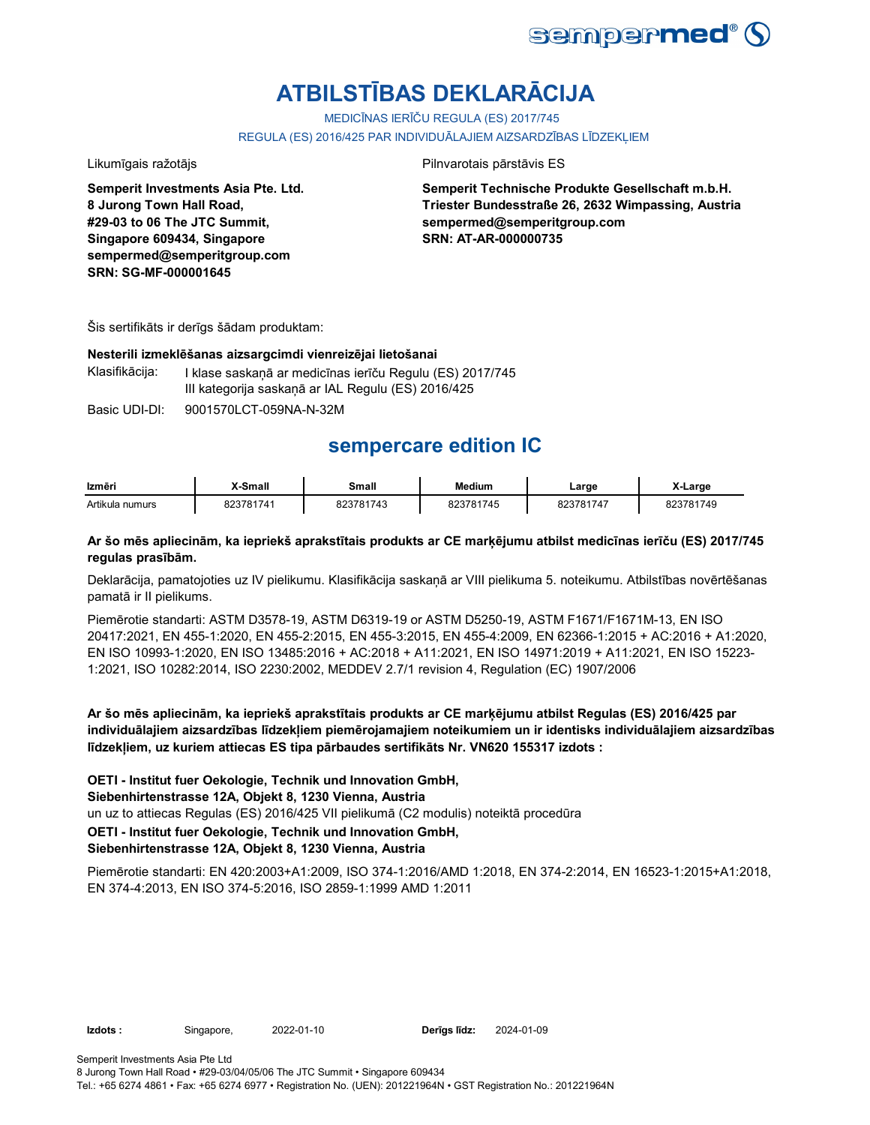

# **ATBILSTĪBAS DEKLARĀCIJA**

MEDICĪNAS IERĪČU REGULA (ES) 2017/745

REGULA (ES) 2016/425 PAR INDIVIDUĀLAJIEM AIZSARDZĪBAS LĪDZEKĻIEM

**Semperit Investments Asia Pte. Ltd. 8 Jurong Town Hall Road, #29-03 to 06 The JTC Summit, Singapore 609434, Singapore sempermed@semperitgroup.com SRN: SG-MF-000001645**

Likumīgais ražotājs **Pilnvarotais pārstāvis ES** 

**Semperit Technische Produkte Gesellschaft m.b.H. Triester Bundesstraße 26, 2632 Wimpassing, Austria sempermed@semperitgroup.com SRN: AT-AR-000000735**

Šis sertifikāts ir derīgs šādam produktam:

### **Nesterili izmeklēšanas aizsargcimdi vienreizējai lietošanai**

Klasifikācija: I klase saskaņā ar medicīnas ierīču Regulu (ES) 2017/745 III kategorija saskaņā ar IAL Regulu (ES) 2016/425

Basic UDI-DI: 9001570LCT-059NA-N-32M

## **sempercare edition IC**

| Izmēri          | X-Small   | Small     | <b>Medium</b> | Large     | X-Large   |
|-----------------|-----------|-----------|---------------|-----------|-----------|
| Artikula numurs | 823781741 | 823781743 | 823781745     | 823781747 | 823781749 |

## **Ar šo mēs apliecinām, ka iepriekš aprakstītais produkts ar CE marķējumu atbilst medicīnas ierīču (ES) 2017/745 regulas prasībām.**

Deklarācija, pamatojoties uz IV pielikumu. Klasifikācija saskaņā ar VIII pielikuma 5. noteikumu. Atbilstības novērtēšanas pamatā ir II pielikums.

Piemērotie standarti: ASTM D3578-19, ASTM D6319-19 or ASTM D5250-19, ASTM F1671/F1671M-13, EN ISO 20417:2021, EN 455-1:2020, EN 455-2:2015, EN 455-3:2015, EN 455-4:2009, EN 62366-1:2015 + AC:2016 + A1:2020, EN ISO 10993-1:2020, EN ISO 13485:2016 + AC:2018 + A11:2021, EN ISO 14971:2019 + A11:2021, EN ISO 15223- 1:2021, ISO 10282:2014, ISO 2230:2002, MEDDEV 2.7/1 revision 4, Regulation (EC) 1907/2006

**Ar šo mēs apliecinām, ka iepriekš aprakstītais produkts ar CE marķējumu atbilst Regulas (ES) 2016/425 par individuālajiem aizsardzības līdzekļiem piemērojamajiem noteikumiem un ir identisks individuālajiem aizsardzības līdzekļiem, uz kuriem attiecas ES tipa pārbaudes sertifikāts Nr. VN620 155317 izdots :**

**OETI - Institut fuer Oekologie, Technik und Innovation GmbH,** 

**Siebenhirtenstrasse 12A, Objekt 8, 1230 Vienna, Austria**

un uz to attiecas Regulas (ES) 2016/425 VII pielikumā (C2 modulis) noteiktā procedūra

**OETI - Institut fuer Oekologie, Technik und Innovation GmbH,** 

## **Siebenhirtenstrasse 12A, Objekt 8, 1230 Vienna, Austria**

Piemērotie standarti: EN 420:2003+A1:2009, ISO 374-1:2016/AMD 1:2018, EN 374-2:2014, EN 16523-1:2015+A1:2018, EN 374-4:2013, EN ISO 374-5:2016, ISO 2859-1:1999 AMD 1:2011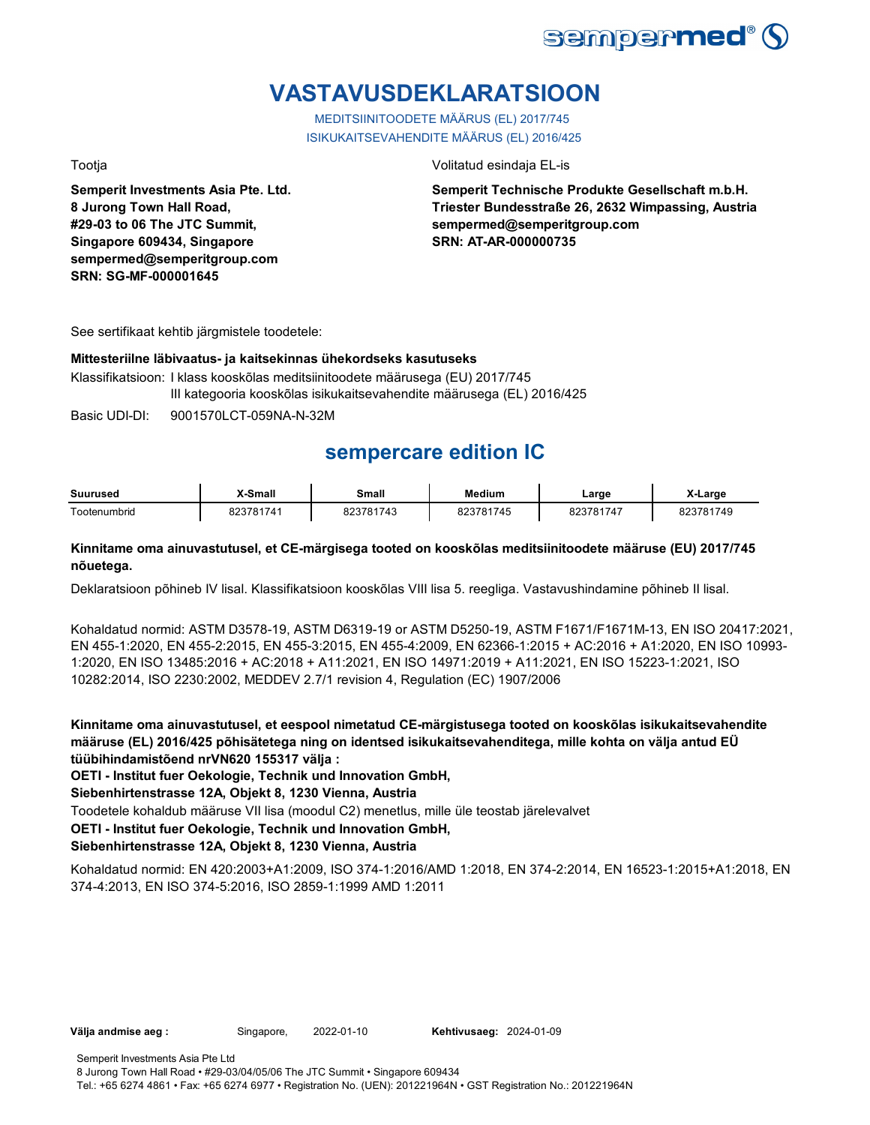

# **VASTAVUSDEKLARATSIOON**

MEDITSIINITOODETE MÄÄRUS (EL) 2017/745 ISIKUKAITSEVAHENDITE MÄÄRUS (EL) 2016/425

**Semperit Investments Asia Pte. Ltd. 8 Jurong Town Hall Road, #29-03 to 06 The JTC Summit, Singapore 609434, Singapore sempermed@semperitgroup.com SRN: SG-MF-000001645**

## Tootja Volitatud esindaja EL-is

**Semperit Technische Produkte Gesellschaft m.b.H. Triester Bundesstraße 26, 2632 Wimpassing, Austria sempermed@semperitgroup.com SRN: AT-AR-000000735**

See sertifikaat kehtib järgmistele toodetele:

## **Mittesteriilne läbivaatus- ja kaitsekinnas ühekordseks kasutuseks**

Klassifikatsioon: I klass kooskõlas meditsiinitoodete määrusega (EU) 2017/745 III kategooria kooskõlas isikukaitsevahendite määrusega (EL) 2016/425

Basic UDI-DI: 9001570LCT-059NA-N-32M

## **sempercare edition IC**

| Suurused     | X-Small         | Small          | <b>Medium</b> | _arge           | Large     |
|--------------|-----------------|----------------|---------------|-----------------|-----------|
| ⊺ootenumbrid | 3781741<br>ר ∠כ | 3781743<br>∘∩י | 823781745     | 22701.<br>181/4 | 823781749 |

## **Kinnitame oma ainuvastutusel, et CE-märgisega tooted on kooskõlas meditsiinitoodete määruse (EU) 2017/745 nõuetega.**

Deklaratsioon põhineb IV lisal. Klassifikatsioon kooskõlas VIII lisa 5. reegliga. Vastavushindamine põhineb II lisal.

Kohaldatud normid: ASTM D3578-19, ASTM D6319-19 or ASTM D5250-19, ASTM F1671/F1671M-13, EN ISO 20417:2021, EN 455-1:2020, EN 455-2:2015, EN 455-3:2015, EN 455-4:2009, EN 62366-1:2015 + AC:2016 + A1:2020, EN ISO 10993- 1:2020, EN ISO 13485:2016 + AC:2018 + A11:2021, EN ISO 14971:2019 + A11:2021, EN ISO 15223-1:2021, ISO 10282:2014, ISO 2230:2002, MEDDEV 2.7/1 revision 4, Regulation (EC) 1907/2006

**Kinnitame oma ainuvastutusel, et eespool nimetatud CE-märgistusega tooted on kooskõlas isikukaitsevahendite määruse (EL) 2016/425 põhisätetega ning on identsed isikukaitsevahenditega, mille kohta on välja antud EÜ tüübihindamistõend nrVN620 155317 välja :**

**OETI - Institut fuer Oekologie, Technik und Innovation GmbH,** 

**Siebenhirtenstrasse 12A, Objekt 8, 1230 Vienna, Austria**

Toodetele kohaldub määruse VII lisa (moodul C2) menetlus, mille üle teostab järelevalvet

**OETI - Institut fuer Oekologie, Technik und Innovation GmbH,** 

## **Siebenhirtenstrasse 12A, Objekt 8, 1230 Vienna, Austria**

Kohaldatud normid: EN 420:2003+A1:2009, ISO 374-1:2016/AMD 1:2018, EN 374-2:2014, EN 16523-1:2015+A1:2018, EN 374-4:2013, EN ISO 374-5:2016, ISO 2859-1:1999 AMD 1:2011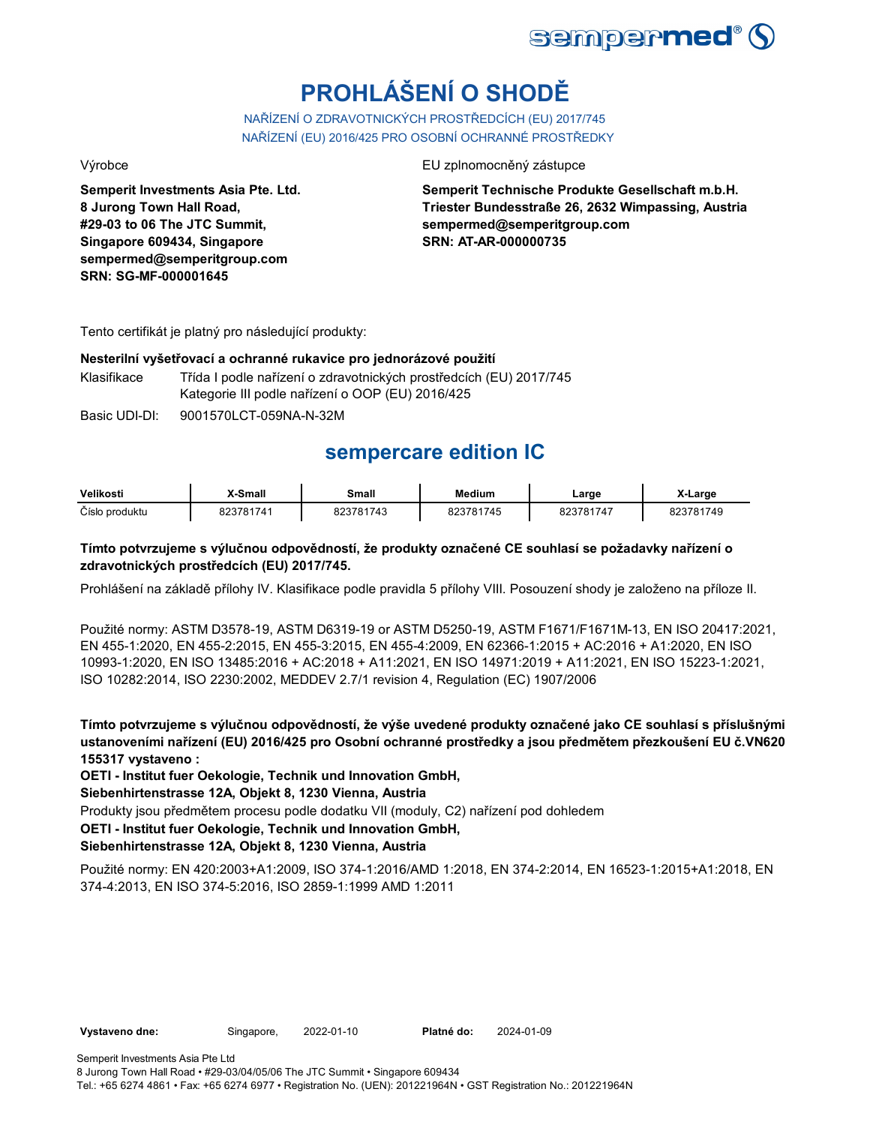

# **PROHLÁŠENÍ O SHODĚ**

NAŘÍZENÍ O ZDRAVOTNICKÝCH PROSTŘEDCÍCH (EU) 2017/745 NAŘÍZENÍ (EU) 2016/425 PRO OSOBNÍ OCHRANNÉ PROSTŘEDKY

**Semperit Investments Asia Pte. Ltd. 8 Jurong Town Hall Road, #29-03 to 06 The JTC Summit, Singapore 609434, Singapore sempermed@semperitgroup.com SRN: SG-MF-000001645**

## Výrobce EU zplnomocněný zástupce EU zplnomocněný zástupce

**Semperit Technische Produkte Gesellschaft m.b.H. Triester Bundesstraße 26, 2632 Wimpassing, Austria sempermed@semperitgroup.com SRN: AT-AR-000000735**

Tento certifikát je platný pro následující produkty:

## **Nesterilní vyšetřovací a ochranné rukavice pro jednorázové použití**

Klasifikace Třída I podle nařízení o zdravotnických prostředcích (EU) 2017/745 Kategorie III podle nařízení o OOP (EU) 2016/425

Basic UDI-DI: 9001570LCT-059NA-N-32M

## **sempercare edition IC**

| Velikosti      | X-Small   | Small     | Medium   | ∟arge     | X-Large        |
|----------------|-----------|-----------|----------|-----------|----------------|
| Číslo produktu | 823781741 | 823781743 | `3781745 | 823781747 | 3781749<br>ገ / |

## **Tímto potvrzujeme s výlučnou odpovědností, že produkty označené CE souhlasí se požadavky nařízení o zdravotnických prostředcích (EU) 2017/745.**

Prohlášení na základě přílohy IV. Klasifikace podle pravidla 5 přílohy VIII. Posouzení shody je založeno na příloze II.

Použité normy: ASTM D3578-19, ASTM D6319-19 or ASTM D5250-19, ASTM F1671/F1671M-13, EN ISO 20417:2021, EN 455-1:2020, EN 455-2:2015, EN 455-3:2015, EN 455-4:2009, EN 62366-1:2015 + AC:2016 + A1:2020, EN ISO 10993-1:2020, EN ISO 13485:2016 + AC:2018 + A11:2021, EN ISO 14971:2019 + A11:2021, EN ISO 15223-1:2021, ISO 10282:2014, ISO 2230:2002, MEDDEV 2.7/1 revision 4, Regulation (EC) 1907/2006

**Tímto potvrzujeme s výlučnou odpovědností, že výše uvedené produkty označené jako CE souhlasí s příslušnými ustanoveními nařízení (EU) 2016/425 pro Osobní ochranné prostředky a jsou předmětem přezkoušení EU č.VN620 155317 vystaveno :**

**OETI - Institut fuer Oekologie, Technik und Innovation GmbH,** 

**Siebenhirtenstrasse 12A, Objekt 8, 1230 Vienna, Austria**

Produkty jsou předmětem procesu podle dodatku VII (moduly, C2) nařízení pod dohledem

**OETI - Institut fuer Oekologie, Technik und Innovation GmbH,** 

## **Siebenhirtenstrasse 12A, Objekt 8, 1230 Vienna, Austria**

Použité normy: EN 420:2003+A1:2009, ISO 374-1:2016/AMD 1:2018, EN 374-2:2014, EN 16523-1:2015+A1:2018, EN 374-4:2013, EN ISO 374-5:2016, ISO 2859-1:1999 AMD 1:2011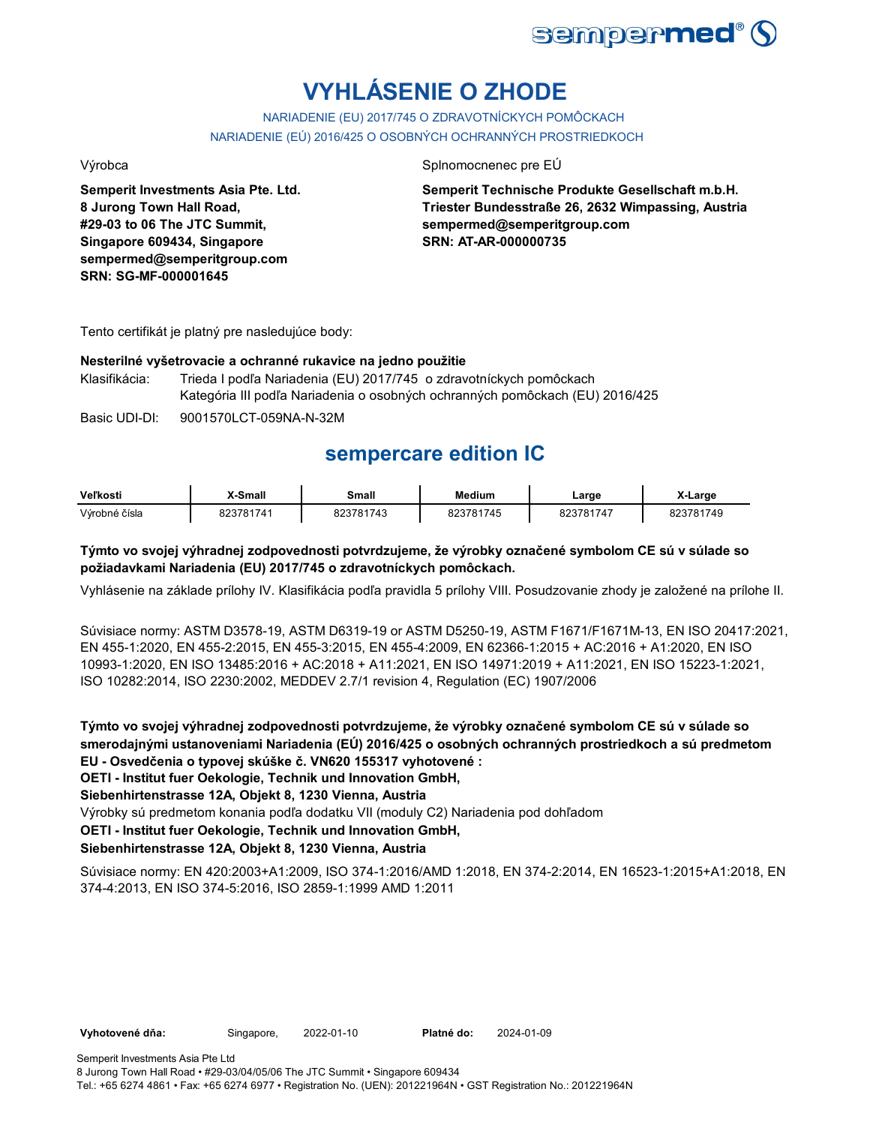

# **VYHLÁSENIE O ZHODE**

NARIADENIE (EU) 2017/745 O ZDRAVOTNÍCKYCH POMÔCKACH NARIADENIE (EÚ) 2016/425 O OSOBNÝCH OCHRANNÝCH PROSTRIEDKOCH

**Semperit Investments Asia Pte. Ltd. 8 Jurong Town Hall Road, #29-03 to 06 The JTC Summit, Singapore 609434, Singapore sempermed@semperitgroup.com SRN: SG-MF-000001645**

## Výrobca Splnomocnenec pre EÚ

**Semperit Technische Produkte Gesellschaft m.b.H. Triester Bundesstraße 26, 2632 Wimpassing, Austria sempermed@semperitgroup.com SRN: AT-AR-000000735**

Tento certifikát je platný pre nasledujúce body:

## **Nesterilné vyšetrovacie a ochranné rukavice na jedno použitie**

Klasifikácia: Trieda I podľa Nariadenia (EU) 2017/745 o zdravotníckych pomôckach Kategória III podľa Nariadenia o osobných ochranných pomôckach (EU) 2016/425

Basic UDI-DI: 9001570LCT-059NA-N-32M

## **sempercare edition IC**

| Veľkosti      | X-Small   | Small     | Medium   | ∟arɑe     | X-Large        |
|---------------|-----------|-----------|----------|-----------|----------------|
| Výrobné čísla | 823781741 | 203781713 | 23781745 | 823781747 | $-01749$<br>റെ |

## **Týmto vo svojej výhradnej zodpovednosti potvrdzujeme, že výrobky označené symbolom CE sú v súlade so požiadavkami Nariadenia (EU) 2017/745 o zdravotníckych pomôckach.**

Vyhlásenie na základe prílohy IV. Klasifikácia podľa pravidla 5 prílohy VIII. Posudzovanie zhody je založené na prílohe II.

Súvisiace normy: ASTM D3578-19, ASTM D6319-19 or ASTM D5250-19, ASTM F1671/F1671M-13, EN ISO 20417:2021, EN 455-1:2020, EN 455-2:2015, EN 455-3:2015, EN 455-4:2009, EN 62366-1:2015 + AC:2016 + A1:2020, EN ISO 10993-1:2020, EN ISO 13485:2016 + AC:2018 + A11:2021, EN ISO 14971:2019 + A11:2021, EN ISO 15223-1:2021, ISO 10282:2014, ISO 2230:2002, MEDDEV 2.7/1 revision 4, Regulation (EC) 1907/2006

**Týmto vo svojej výhradnej zodpovednosti potvrdzujeme, že výrobky označené symbolom CE sú v súlade so smerodajnými ustanoveniami Nariadenia (EÚ) 2016/425 o osobných ochranných prostriedkoch a sú predmetom EU - Osvedčenia o typovej skúške č. VN620 155317 vyhotovené :**

**OETI - Institut fuer Oekologie, Technik und Innovation GmbH,** 

**Siebenhirtenstrasse 12A, Objekt 8, 1230 Vienna, Austria**

Výrobky sú predmetom konania podľa dodatku VII (moduly C2) Nariadenia pod dohľadom

**OETI - Institut fuer Oekologie, Technik und Innovation GmbH,** 

## **Siebenhirtenstrasse 12A, Objekt 8, 1230 Vienna, Austria**

Súvisiace normy: EN 420:2003+A1:2009, ISO 374-1:2016/AMD 1:2018, EN 374-2:2014, EN 16523-1:2015+A1:2018, EN 374-4:2013, EN ISO 374-5:2016, ISO 2859-1:1999 AMD 1:2011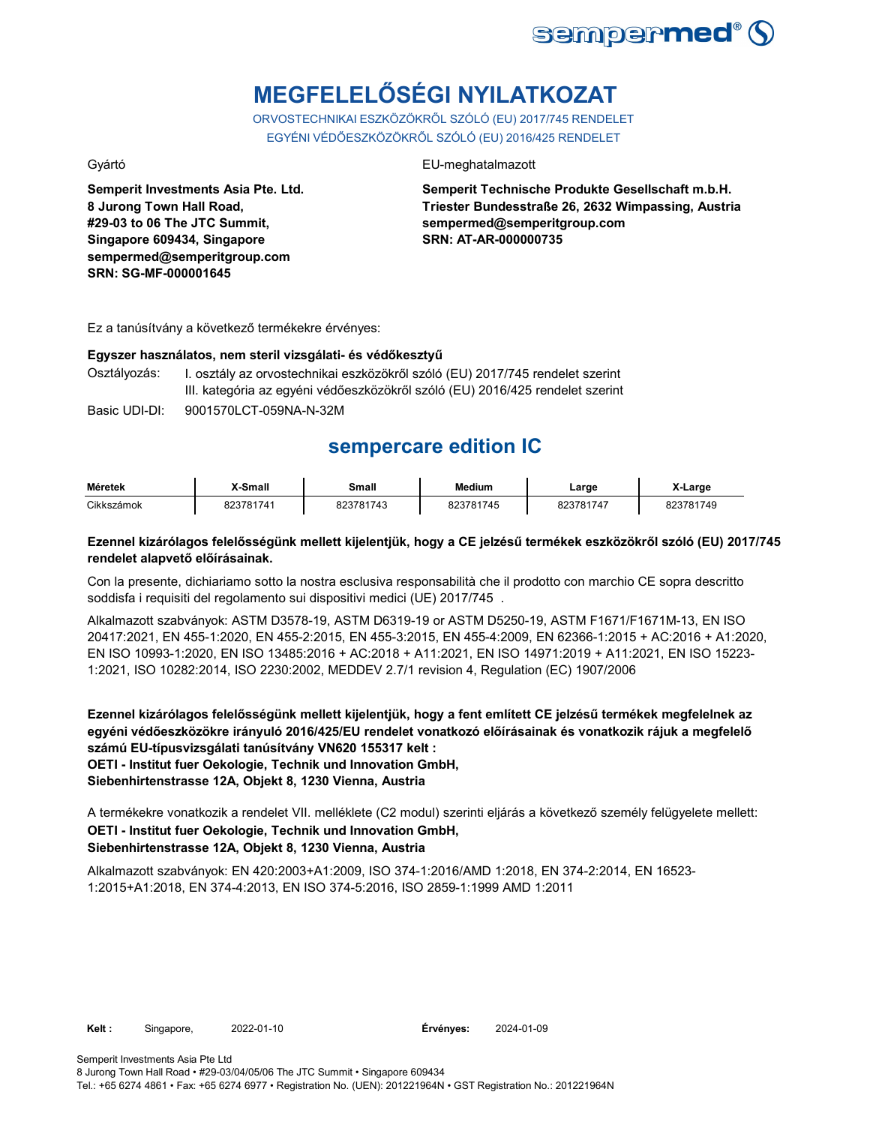

# **MEGFELELŐSÉGI NYILATKOZAT**

ORVOSTECHNIKAI ESZKÖZÖKRŐL SZÓLÓ (EU) 2017/745 RENDELET EGYÉNI VÉDŐESZKÖZÖKRŐL SZÓLÓ (EU) 2016/425 RENDELET

**Semperit Investments Asia Pte. Ltd. 8 Jurong Town Hall Road, #29-03 to 06 The JTC Summit, Singapore 609434, Singapore sempermed@semperitgroup.com SRN: SG-MF-000001645**

## Gyártó EU-meghatalmazott

**Semperit Technische Produkte Gesellschaft m.b.H. Triester Bundesstraße 26, 2632 Wimpassing, Austria sempermed@semperitgroup.com SRN: AT-AR-000000735**

Ez a tanúsítvány a következő termékekre érvényes:

# **Egyszer használatos, nem steril vizsgálati- és védőkesztyű**

I. osztály az orvostechnikai eszközökről szóló (EU) 2017/745 rendelet szerint III. kategória az egyéni védőeszközökről szóló (EU) 2016/425 rendelet szerint

Basic UDI-DI: 9001570LCT-059NA-N-32M

## **sempercare edition IC**

| <b>Méretek</b> | X-Small   | Small     | <b>Medium</b> | Large     | X-Large   |
|----------------|-----------|-----------|---------------|-----------|-----------|
| Cikkszámok     | 823781741 | 823781743 | 823781745     | 823781747 | 823781749 |

## **Ezennel kizárólagos felelősségünk mellett kijelentjük, hogy a CE jelzésű termékek eszközökről szóló (EU) 2017/745 rendelet alapvető előírásainak.**

Con la presente, dichiariamo sotto la nostra esclusiva responsabilità che il prodotto con marchio CE sopra descritto soddisfa i requisiti del regolamento sui dispositivi medici (UE) 2017/745 .

Alkalmazott szabványok: ASTM D3578-19, ASTM D6319-19 or ASTM D5250-19, ASTM F1671/F1671M-13, EN ISO 20417:2021, EN 455-1:2020, EN 455-2:2015, EN 455-3:2015, EN 455-4:2009, EN 62366-1:2015 + AC:2016 + A1:2020, EN ISO 10993-1:2020, EN ISO 13485:2016 + AC:2018 + A11:2021, EN ISO 14971:2019 + A11:2021, EN ISO 15223- 1:2021, ISO 10282:2014, ISO 2230:2002, MEDDEV 2.7/1 revision 4, Regulation (EC) 1907/2006

**Ezennel kizárólagos felelősségünk mellett kijelentjük, hogy a fent említett CE jelzésű termékek megfelelnek az egyéni védőeszközökre irányuló 2016/425/EU rendelet vonatkozó előírásainak és vonatkozik rájuk a megfelelő számú EU-típusvizsgálati tanúsítvány VN620 155317 kelt : OETI - Institut fuer Oekologie, Technik und Innovation GmbH, Siebenhirtenstrasse 12A, Objekt 8, 1230 Vienna, Austria**

**OETI - Institut fuer Oekologie, Technik und Innovation GmbH, Siebenhirtenstrasse 12A, Objekt 8, 1230 Vienna, Austria** A termékekre vonatkozik a rendelet VII. melléklete (C2 modul) szerinti eljárás a következő személy felügyelete mellett:

Alkalmazott szabványok: EN 420:2003+A1:2009, ISO 374-1:2016/AMD 1:2018, EN 374-2:2014, EN 16523- 1:2015+A1:2018, EN 374-4:2013, EN ISO 374-5:2016, ISO 2859-1:1999 AMD 1:2011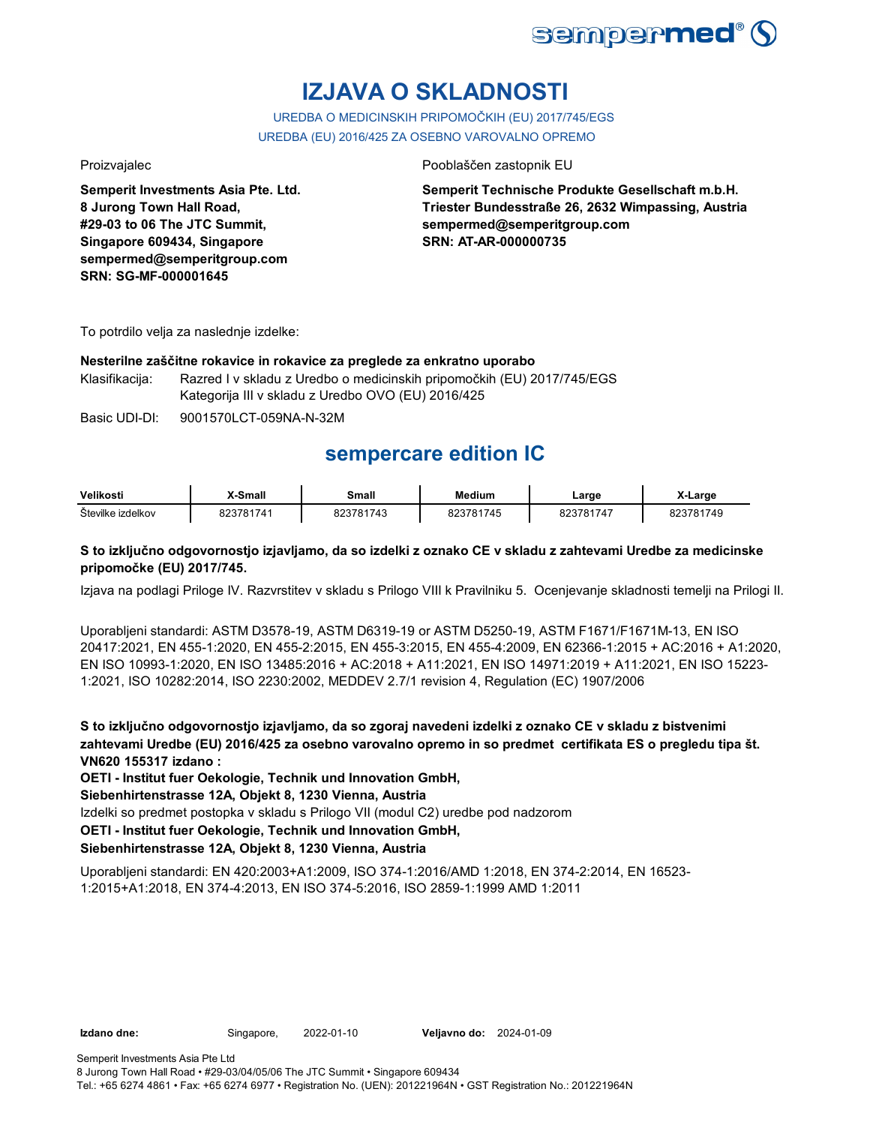

# **IZJAVA O SKLADNOSTI**

UREDBA O MEDICINSKIH PRIPOMOČKIH (EU) 2017/745/EGS UREDBA (EU) 2016/425 ZA OSEBNO VAROVALNO OPREMO

**Semperit Investments Asia Pte. Ltd. 8 Jurong Town Hall Road, #29-03 to 06 The JTC Summit, Singapore 609434, Singapore sempermed@semperitgroup.com SRN: SG-MF-000001645**

## Proizvajalec Pooblaščen zastopnik EU

**Semperit Technische Produkte Gesellschaft m.b.H. Triester Bundesstraße 26, 2632 Wimpassing, Austria sempermed@semperitgroup.com SRN: AT-AR-000000735**

To potrdilo velja za naslednje izdelke:

## **Nesterilne zaščitne rokavice in rokavice za preglede za enkratno uporabo**

Klasifikacija: Razred I v skladu z Uredbo o medicinskih pripomočkih (EU) 2017/745/EGS Kategorija III v skladu z Uredbo OVO (EU) 2016/425

Basic UDI-DI: 9001570LCT-059NA-N-32M

## **sempercare edition IC**

| Velikosti         | X-Small   | Small   | Medium    | ∟arge     | <b>-∟arge</b> |
|-------------------|-----------|---------|-----------|-----------|---------------|
| Številke izdelkov | 823781741 | 3781742 | :23781745 | 823781747 | 823781749     |

## **S to izključno odgovornostjo izjavljamo, da so izdelki z oznako CE v skladu z zahtevami Uredbe za medicinske pripomočke (EU) 2017/745.**

Izjava na podlagi Priloge IV. Razvrstitev v skladu s Prilogo VIII k Pravilniku 5. Ocenjevanje skladnosti temelji na Prilogi II.

Uporabljeni standardi: ASTM D3578-19, ASTM D6319-19 or ASTM D5250-19, ASTM F1671/F1671M-13, EN ISO 20417:2021, EN 455-1:2020, EN 455-2:2015, EN 455-3:2015, EN 455-4:2009, EN 62366-1:2015 + AC:2016 + A1:2020, EN ISO 10993-1:2020, EN ISO 13485:2016 + AC:2018 + A11:2021, EN ISO 14971:2019 + A11:2021, EN ISO 15223- 1:2021, ISO 10282:2014, ISO 2230:2002, MEDDEV 2.7/1 revision 4, Regulation (EC) 1907/2006

**S to izključno odgovornostjo izjavljamo, da so zgoraj navedeni izdelki z oznako CE v skladu z bistvenimi zahtevami Uredbe (EU) 2016/425 za osebno varovalno opremo in so predmet certifikata ES o pregledu tipa št. VN620 155317 izdano :**

**OETI - Institut fuer Oekologie, Technik und Innovation GmbH,** 

**Siebenhirtenstrasse 12A, Objekt 8, 1230 Vienna, Austria**

Izdelki so predmet postopka v skladu s Prilogo VII (modul C2) uredbe pod nadzorom

**OETI - Institut fuer Oekologie, Technik und Innovation GmbH,** 

## **Siebenhirtenstrasse 12A, Objekt 8, 1230 Vienna, Austria**

Uporabljeni standardi: EN 420:2003+A1:2009, ISO 374-1:2016/AMD 1:2018, EN 374-2:2014, EN 16523- 1:2015+A1:2018, EN 374-4:2013, EN ISO 374-5:2016, ISO 2859-1:1999 AMD 1:2011

**Izdano dne:** Singapore, 2022-01-10 **Veljavno do:** 2024-01-09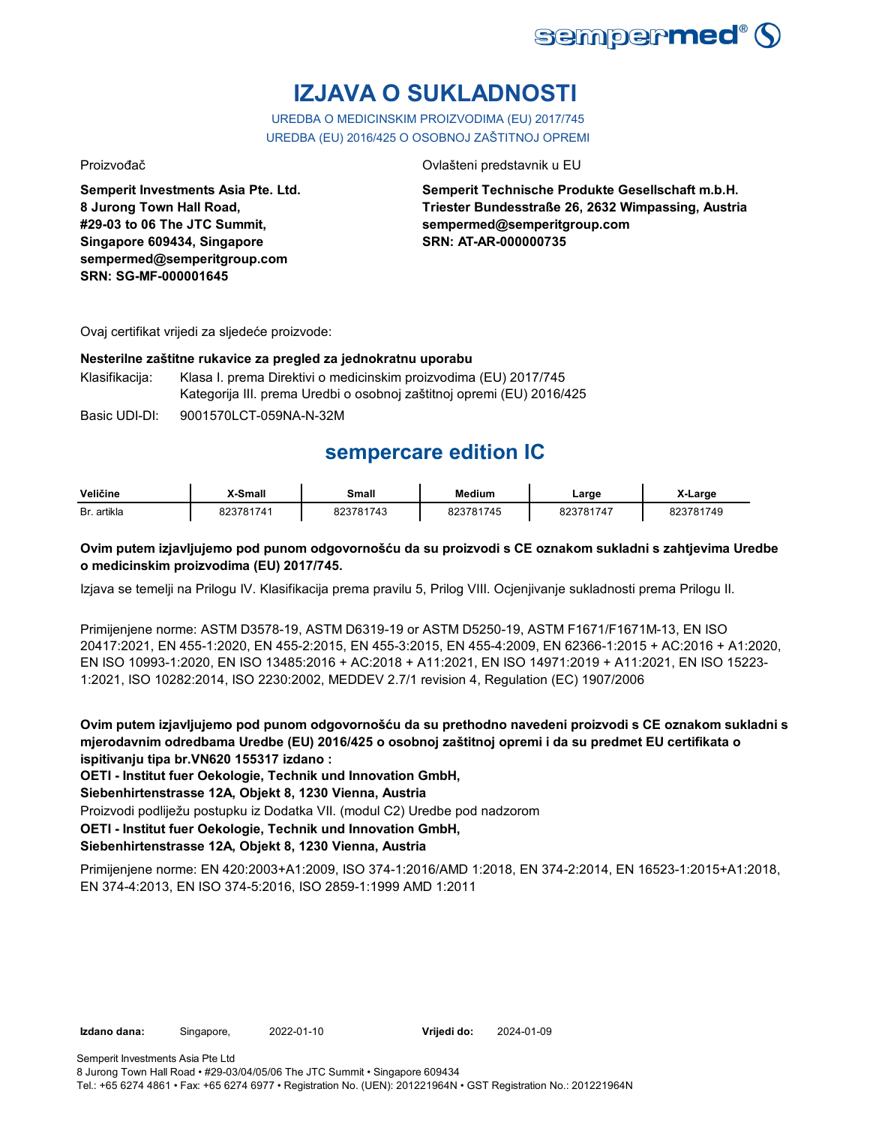

# **IZJAVA O SUKLADNOSTI**

UREDBA O MEDICINSKIM PROIZVODIMA (EU) 2017/745 UREDBA (EU) 2016/425 O OSOBNOJ ZAŠTITNOJ OPREMI

**Semperit Investments Asia Pte. Ltd. 8 Jurong Town Hall Road, #29-03 to 06 The JTC Summit, Singapore 609434, Singapore sempermed@semperitgroup.com SRN: SG-MF-000001645**

## Proizvođač Ovlašteni predstavnik u EU

**Semperit Technische Produkte Gesellschaft m.b.H. Triester Bundesstraße 26, 2632 Wimpassing, Austria sempermed@semperitgroup.com SRN: AT-AR-000000735**

Ovaj certifikat vrijedi za sljedeće proizvode:

## **Nesterilne zaštitne rukavice za pregled za jednokratnu uporabu**

Klasifikacija: Klasa I. prema Direktivi o medicinskim proizvodima (EU) 2017/745 Kategorija III. prema Uredbi o osobnoj zaštitnoj opremi (EU) 2016/425

Basic UDI-DI: 9001570LCT-059NA-N-32M

## **sempercare edition IC**

| Veličine    | X-Small   | Small            | <b>Medium</b> | ∟arge     | X-Large      |
|-------------|-----------|------------------|---------------|-----------|--------------|
| Br. artikla | 823781741 | $\sqrt{7}$ 81742 | 23781745      | 823781747 | 701749<br>nn |

## **Ovim putem izjavljujemo pod punom odgovornošću da su proizvodi s CE oznakom sukladni s zahtjevima Uredbe o medicinskim proizvodima (EU) 2017/745.**

Izjava se temelji na Prilogu IV. Klasifikacija prema pravilu 5, Prilog VIII. Ocjenjivanje sukladnosti prema Prilogu II.

Primijenjene norme: ASTM D3578-19, ASTM D6319-19 or ASTM D5250-19, ASTM F1671/F1671M-13, EN ISO 20417:2021, EN 455-1:2020, EN 455-2:2015, EN 455-3:2015, EN 455-4:2009, EN 62366-1:2015 + AC:2016 + A1:2020, EN ISO 10993-1:2020, EN ISO 13485:2016 + AC:2018 + A11:2021, EN ISO 14971:2019 + A11:2021, EN ISO 15223- 1:2021, ISO 10282:2014, ISO 2230:2002, MEDDEV 2.7/1 revision 4, Regulation (EC) 1907/2006

**Ovim putem izjavljujemo pod punom odgovornošću da su prethodno navedeni proizvodi s CE oznakom sukladni s mjerodavnim odredbama Uredbe (EU) 2016/425 o osobnoj zaštitnoj opremi i da su predmet EU certifikata o ispitivanju tipa br.VN620 155317 izdano :**

**OETI - Institut fuer Oekologie, Technik und Innovation GmbH,** 

**Siebenhirtenstrasse 12A, Objekt 8, 1230 Vienna, Austria**

Proizvodi podliježu postupku iz Dodatka VII. (modul C2) Uredbe pod nadzorom

**OETI - Institut fuer Oekologie, Technik und Innovation GmbH,** 

## **Siebenhirtenstrasse 12A, Objekt 8, 1230 Vienna, Austria**

Primijenjene norme: EN 420:2003+A1:2009, ISO 374-1:2016/AMD 1:2018, EN 374-2:2014, EN 16523-1:2015+A1:2018, EN 374-4:2013, EN ISO 374-5:2016, ISO 2859-1:1999 AMD 1:2011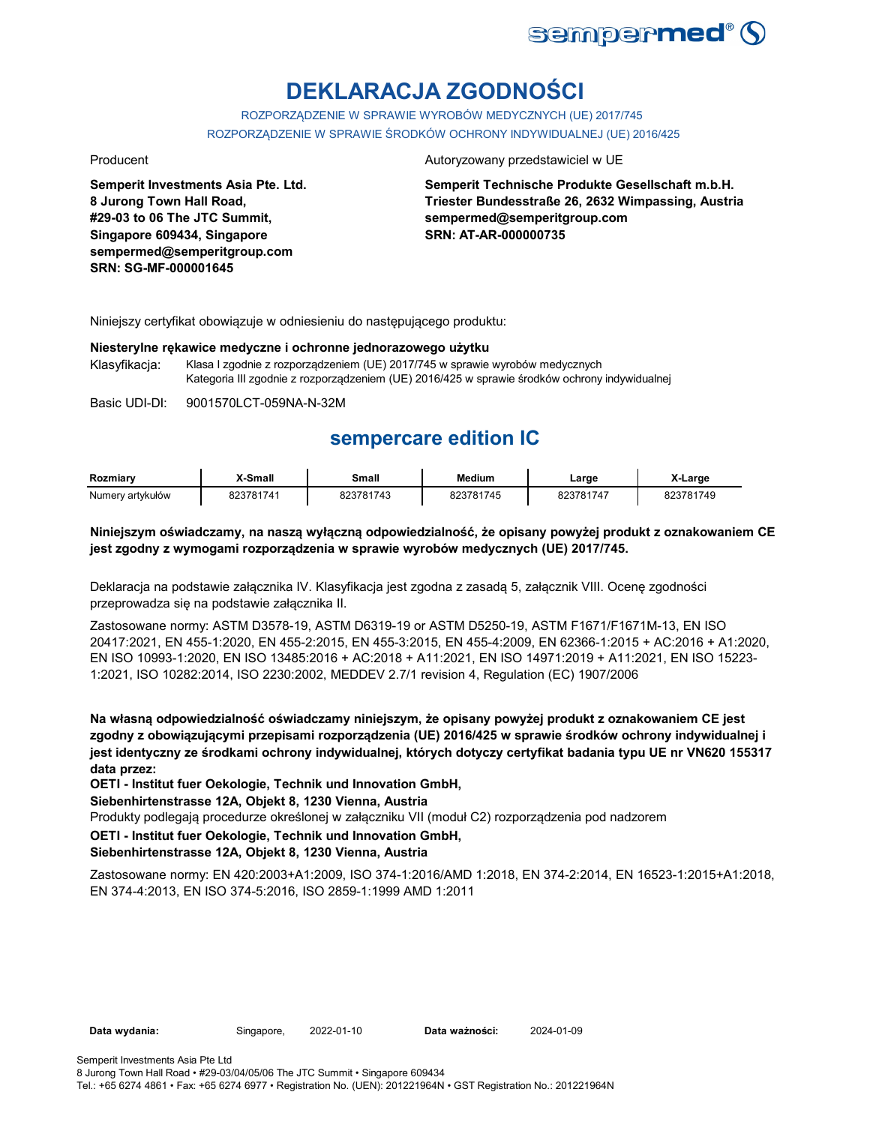

# **DEKLARACJA ZGODNOŚCI**

ROZPORZĄDZENIE W SPRAWIE WYROBÓW MEDYCZNYCH (UE) 2017/745 ROZPORZĄDZENIE W SPRAWIE ŚRODKÓW OCHRONY INDYWIDUALNEJ (UE) 2016/425

**Semperit Investments Asia Pte. Ltd. 8 Jurong Town Hall Road, #29-03 to 06 The JTC Summit, Singapore 609434, Singapore sempermed@semperitgroup.com SRN: SG-MF-000001645**

#### Producent **Autoryzowany przedstawiciel w UE**

**Semperit Technische Produkte Gesellschaft m.b.H. Triester Bundesstraße 26, 2632 Wimpassing, Austria sempermed@semperitgroup.com SRN: AT-AR-000000735**

Niniejszy certyfikat obowiązuje w odniesieniu do następującego produktu:

#### **Niesterylne rękawice medyczne i ochronne jednorazowego użytku**

Klasyfikacja: Klasa I zgodnie z rozporządzeniem (UE) 2017/745 w sprawie wyrobów medycznych Kategoria III zgodnie z rozporządzeniem (UE) 2016/425 w sprawie środków ochrony indywidualnej

Basic UDI-DI: 9001570LCT-059NA-N-32M

## **sempercare edition IC**

| Rozmiarv         | X-Small   | <b>Small</b> | <b>Medium</b> | Large     | X-Large   |
|------------------|-----------|--------------|---------------|-----------|-----------|
| Numerv artvkułów | 823781741 | 823781743    | 823781745     | 823781747 | 823781749 |

## **Niniejszym oświadczamy, na naszą wyłączną odpowiedzialność, że opisany powyżej produkt z oznakowaniem CE jest zgodny z wymogami rozporządzenia w sprawie wyrobów medycznych (UE) 2017/745.**

Deklaracja na podstawie załącznika IV. Klasyfikacja jest zgodna z zasadą 5, załącznik VIII. Ocenę zgodności przeprowadza się na podstawie załącznika II.

Zastosowane normy: ASTM D3578-19, ASTM D6319-19 or ASTM D5250-19, ASTM F1671/F1671M-13, EN ISO 20417:2021, EN 455-1:2020, EN 455-2:2015, EN 455-3:2015, EN 455-4:2009, EN 62366-1:2015 + AC:2016 + A1:2020, EN ISO 10993-1:2020, EN ISO 13485:2016 + AC:2018 + A11:2021, EN ISO 14971:2019 + A11:2021, EN ISO 15223- 1:2021, ISO 10282:2014, ISO 2230:2002, MEDDEV 2.7/1 revision 4, Regulation (EC) 1907/2006

**Na własną odpowiedzialność oświadczamy niniejszym, że opisany powyżej produkt z oznakowaniem CE jest zgodny z obowiązującymi przepisami rozporządzenia (UE) 2016/425 w sprawie środków ochrony indywidualnej i jest identyczny ze środkami ochrony indywidualnej, których dotyczy certyfikat badania typu UE nr VN620 155317 data przez:**

**OETI - Institut fuer Oekologie, Technik und Innovation GmbH,** 

**Siebenhirtenstrasse 12A, Objekt 8, 1230 Vienna, Austria**

Produkty podlegają procedurze określonej w załączniku VII (moduł C2) rozporządzenia pod nadzorem

**OETI - Institut fuer Oekologie, Technik und Innovation GmbH,** 

### **Siebenhirtenstrasse 12A, Objekt 8, 1230 Vienna, Austria**

Zastosowane normy: EN 420:2003+A1:2009, ISO 374-1:2016/AMD 1:2018, EN 374-2:2014, EN 16523-1:2015+A1:2018, EN 374-4:2013, EN ISO 374-5:2016, ISO 2859-1:1999 AMD 1:2011

**Data wydania:** Singapore, 2022-01-10 **Data ważności:** 2024-01-09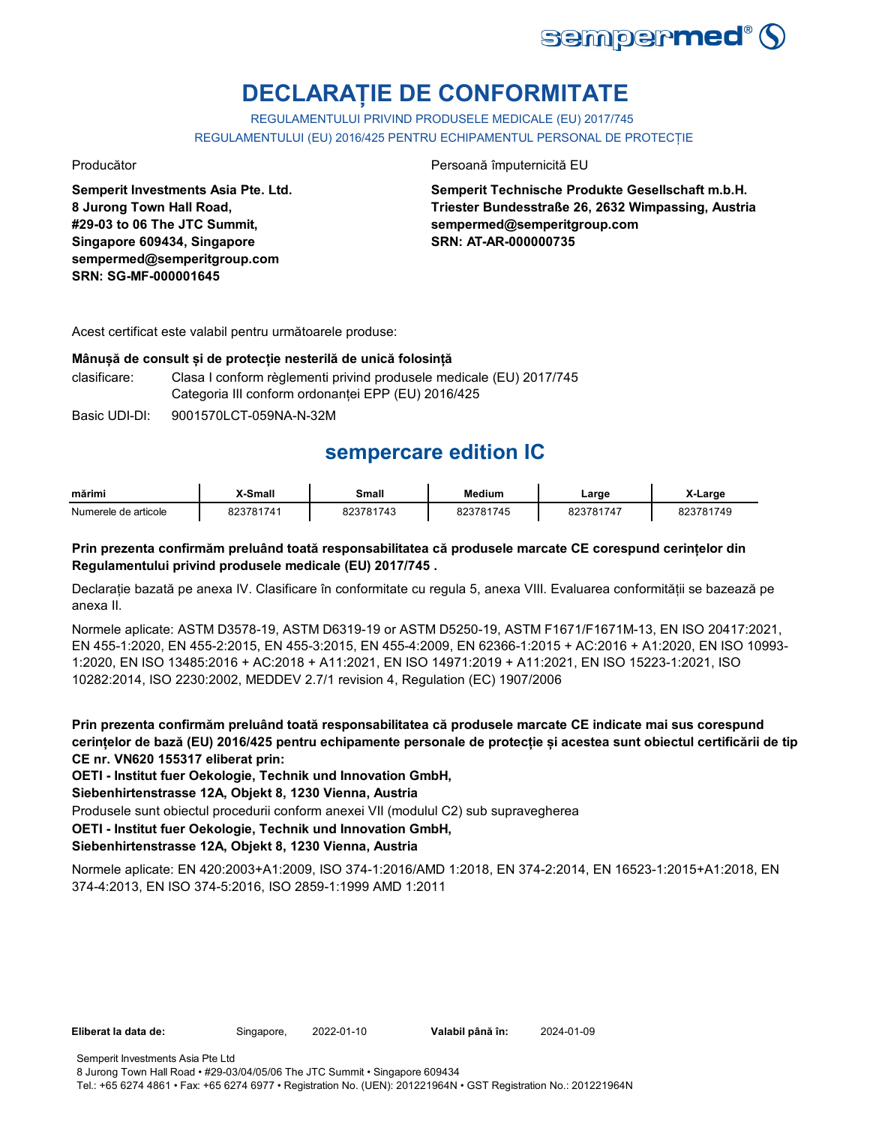

# **DECLARAȚIE DE CONFORMITATE**

REGULAMENTULUI PRIVIND PRODUSELE MEDICALE (EU) 2017/745 REGULAMENTULUI (EU) 2016/425 PENTRU ECHIPAMENTUL PERSONAL DE PROTECȚIE

**Semperit Investments Asia Pte. Ltd. 8 Jurong Town Hall Road, #29-03 to 06 The JTC Summit, Singapore 609434, Singapore sempermed@semperitgroup.com SRN: SG-MF-000001645**

## Producător Persoană împuternicită EU

**Semperit Technische Produkte Gesellschaft m.b.H. Triester Bundesstraße 26, 2632 Wimpassing, Austria sempermed@semperitgroup.com SRN: AT-AR-000000735**

Acest certificat este valabil pentru următoarele produse:

### **Mânușă de consult și de protecție nesterilă de unică folosință**

clasificare: Clasa I conform règlementi privind produsele medicale (EU) 2017/745 Categoria III conform ordonanței EPP (EU) 2016/425

Basic UDI-DI: 9001570LCT-059NA-N-32M

## **sempercare edition IC**

| mărimi               | X-Small | Small     | <b>Medium</b> | ∟arge     | X-Large   |
|----------------------|---------|-----------|---------------|-----------|-----------|
| Numerele de articole | 3781741 | 823781743 | 823781745     | 823781747 | 823781749 |

## **Prin prezenta confirmăm preluând toată responsabilitatea că produsele marcate CE corespund cerințelor din Regulamentului privind produsele medicale (EU) 2017/745 .**

Declarație bazată pe anexa IV. Clasificare în conformitate cu regula 5, anexa VIII. Evaluarea conformității se bazează pe anexa II.

Normele aplicate: ASTM D3578-19, ASTM D6319-19 or ASTM D5250-19, ASTM F1671/F1671M-13, EN ISO 20417:2021, EN 455-1:2020, EN 455-2:2015, EN 455-3:2015, EN 455-4:2009, EN 62366-1:2015 + AC:2016 + A1:2020, EN ISO 10993- 1:2020, EN ISO 13485:2016 + AC:2018 + A11:2021, EN ISO 14971:2019 + A11:2021, EN ISO 15223-1:2021, ISO 10282:2014, ISO 2230:2002, MEDDEV 2.7/1 revision 4, Regulation (EC) 1907/2006

**Prin prezenta confirmăm preluând toată responsabilitatea că produsele marcate CE indicate mai sus corespund cerințelor de bază (EU) 2016/425 pentru echipamente personale de protecție și acestea sunt obiectul certificării de tip CE nr. VN620 155317 eliberat prin:**

**OETI - Institut fuer Oekologie, Technik und Innovation GmbH,** 

**Siebenhirtenstrasse 12A, Objekt 8, 1230 Vienna, Austria**

Produsele sunt obiectul procedurii conform anexei VII (modulul C2) sub supravegherea

**OETI - Institut fuer Oekologie, Technik und Innovation GmbH,** 

## **Siebenhirtenstrasse 12A, Objekt 8, 1230 Vienna, Austria**

Normele aplicate: EN 420:2003+A1:2009, ISO 374-1:2016/AMD 1:2018, EN 374-2:2014, EN 16523-1:2015+A1:2018, EN 374-4:2013, EN ISO 374-5:2016, ISO 2859-1:1999 AMD 1:2011

8 Jurong Town Hall Road • #29-03/04/05/06 The JTC Summit • Singapore 609434 Tel.: +65 6274 4861 • Fax: +65 6274 6977 • Registration No. (UEN): 201221964N • GST Registration No.: 201221964N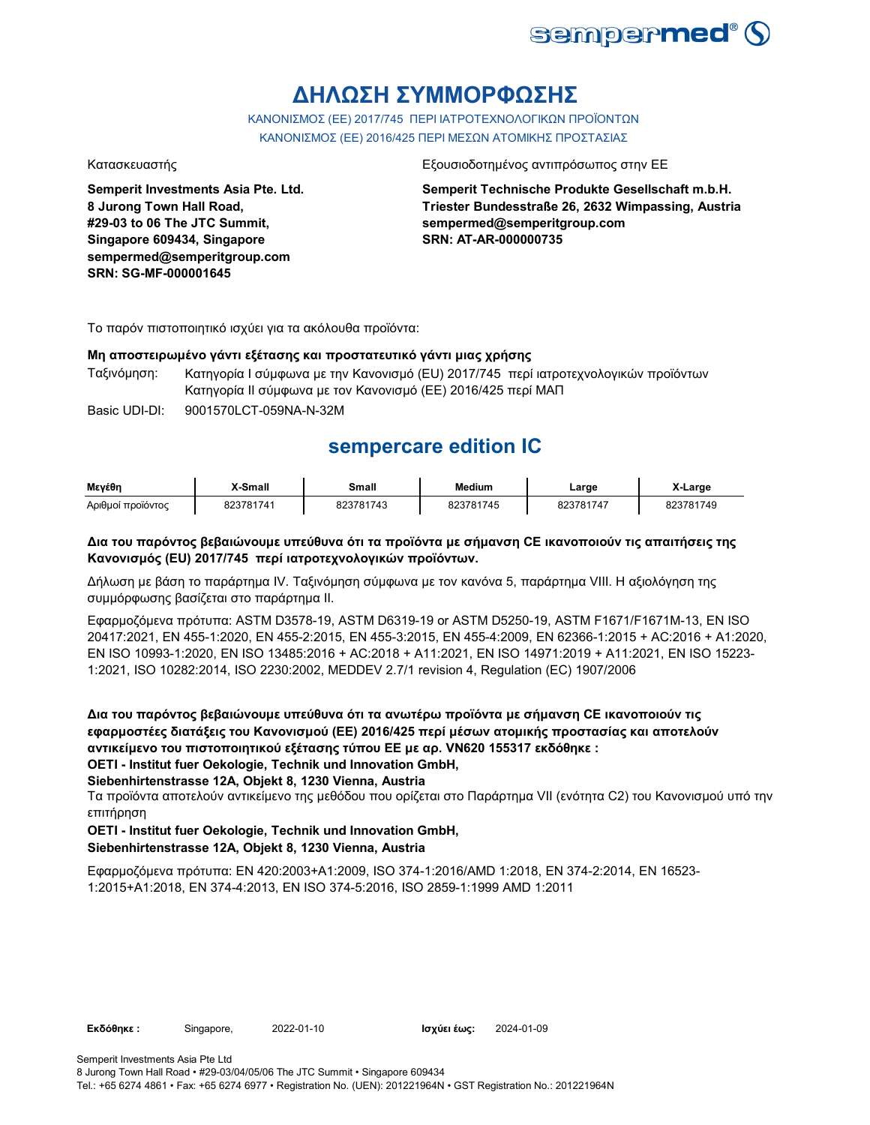

## **ΔΗΛΩΣΗ ΣΥΜΜΟΡΦΩΣΗΣ**

ΚΑΝΟΝΙΣΜΟΣ (EE) 2017/745 ΠΕΡΙ ΙΑΤΡΟΤΕΧΝΟΛΟΓΙΚΩΝ ΠΡΟΪΟΝΤΩΝ ΚΑΝΟΝΙΣΜΟΣ (ΕΕ) 2016/425 ΠΕΡΙ ΜΕΣΩΝ ΑΤΟΜΙΚΗΣ ΠΡΟΣΤΑΣΙΑΣ

**Semperit Investments Asia Pte. Ltd. 8 Jurong Town Hall Road, #29-03 to 06 The JTC Summit, Singapore 609434, Singapore sempermed@semperitgroup.com SRN: SG-MF-000001645**

### Κατασκευαστής Εξουσιοδοτημένος αντιπρόσωπος στην ΕΕ

**Semperit Technische Produkte Gesellschaft m.b.H. Triester Bundesstraße 26, 2632 Wimpassing, Austria sempermed@semperitgroup.com SRN: AT-AR-000000735**

Το παρόν πιστοποιητικό ισχύει για τα ακόλουθα προϊόντα:

## **Μη αποστειρωμένο γάντι εξέτασης και προστατευτικό γάντι μιας χρήσης**

Ταξινόμηση: Κατηγορία I σύμφωνα με την Κανονισμό (EU) 2017/745 περί ιατροτεχνολογικών προϊόντων Κατηγορία II σύμφωνα με τον Κανονισμό (ΕΕ) 2016/425 περί ΜΑΠ

Basic UDI-DI: 9001570LCT-059NA-N-32M

## **sempercare edition IC**

| Μενέθη            | X-Small   | Small     | <b>Medium</b> | ∟arge     | X-Large   |
|-------------------|-----------|-----------|---------------|-----------|-----------|
| Αριθμοί προϊόντος | 823781741 | 823781743 | 823781745     | 823781747 | 823781749 |

## **Δια του παρόντος βεβαιώνουμε υπεύθυνα ότι τα προϊόντα με σήμανση CE ικανοποιούν τις απαιτήσεις της Κανονισμός (EU) 2017/745 περί ιατροτεχνολογικών προϊόντων.**

Δήλωση με βάση το παράρτημα IV. Ταξινόμηση σύμφωνα με τον κανόνα 5, παράρτημα VIII. Η αξιολόγηση της συμμόρφωσης βασίζεται στο παράρτημα II.

Εφαρμοζόμενα πρότυπα: ASTM D3578-19, ASTM D6319-19 or ASTM D5250-19, ASTM F1671/F1671M-13, EN ISO 20417:2021, EN 455-1:2020, EN 455-2:2015, EN 455-3:2015, EN 455-4:2009, EN 62366-1:2015 + AC:2016 + A1:2020, EN ISO 10993-1:2020, EN ISO 13485:2016 + AC:2018 + A11:2021, EN ISO 14971:2019 + A11:2021, EN ISO 15223- 1:2021, ISO 10282:2014, ISO 2230:2002, MEDDEV 2.7/1 revision 4, Regulation (EC) 1907/2006

**Δια του παρόντος βεβαιώνουμε υπεύθυνα ότι τα ανωτέρω προϊόντα με σήμανση CE ικανοποιούν τις εφαρμοστέες διατάξεις του Κανονισμού (ΕΕ) 2016/425 περί μέσων ατομικής προστασίας και αποτελούν αντικείμενο του πιστοποιητικού εξέτασης τύπου ΕΕ με αρ. VN620 155317 εκδόθηκε : OETI - Institut fuer Oekologie, Technik und Innovation GmbH,** 

## **Siebenhirtenstrasse 12A, Objekt 8, 1230 Vienna, Austria**

Τα προϊόντα αποτελούν αντικείμενο της μεθόδου που ορίζεται στο Παράρτημα VII (ενότητα C2) του Κανονισμού υπό την επιτήρηση

## **OETI - Institut fuer Oekologie, Technik und Innovation GmbH,**

## **Siebenhirtenstrasse 12A, Objekt 8, 1230 Vienna, Austria**

Εφαρμοζόμενα πρότυπα: EN 420:2003+A1:2009, ISO 374-1:2016/AMD 1:2018, EN 374-2:2014, EN 16523- 1:2015+A1:2018, EN 374-4:2013, EN ISO 374-5:2016, ISO 2859-1:1999 AMD 1:2011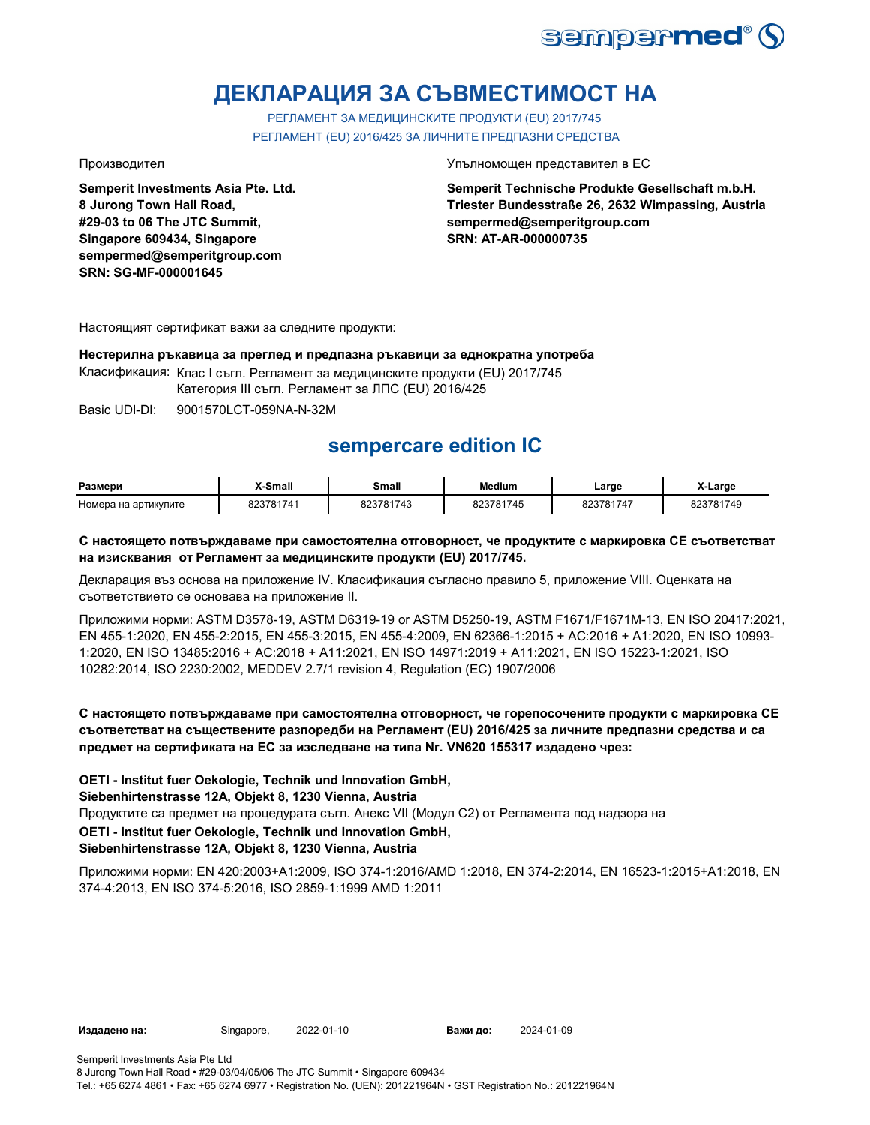

# **ДЕКЛАРАЦИЯ ЗА СЪВМЕСТИМОСТ НА**

РЕГЛАМЕНТ ЗА МЕДИЦИНСКИТЕ ПРОДУКТИ (EU) 2017/745 РЕГЛАМЕНТ (EU) 2016/425 ЗА ЛИЧНИТЕ ПРЕДПАЗНИ СРЕДСТВА

**Semperit Investments Asia Pte. Ltd. 8 Jurong Town Hall Road, #29-03 to 06 The JTC Summit, Singapore 609434, Singapore sempermed@semperitgroup.com SRN: SG-MF-000001645**

#### Производител Упълномощен представител в ЕС

**Semperit Technische Produkte Gesellschaft m.b.H. Triester Bundesstraße 26, 2632 Wimpassing, Austria sempermed@semperitgroup.com SRN: AT-AR-000000735**

Настоящият сертификат важи за следните продукти:

## **Нестерилна ръкавица за преглед и предпазна ръкавици за еднократна употреба**

Класификация: Клас I съгл. Регламент за медицинските продукти (EU) 2017/745

Категория III съгл. Регламент за ЛПС (EU) 2016/425

Basic UDI-DI: 9001570LCT-059NA-N-32M

## **sempercare edition IC**

| Размери              | X-Small   | Small     | <b>Medium</b> | _arge     | X-Large   |
|----------------------|-----------|-----------|---------------|-----------|-----------|
| Номера на артикулите | 823781741 | 823781743 | 823781745     | 823781747 | 823781749 |

## **С настоящето потвърждаваме при самостоятелна отговорност, че продуктите с маркировка СЕ съответстват на изисквания от Регламент за медицинските продукти (EU) 2017/745.**

Декларация въз основа на приложение IV. Класификация съгласно правило 5, приложение VIII. Оценката на съответствието се основава на приложение II.

Приложими норми: ASTM D3578-19, ASTM D6319-19 or ASTM D5250-19, ASTM F1671/F1671M-13, EN ISO 20417:2021, EN 455-1:2020, EN 455-2:2015, EN 455-3:2015, EN 455-4:2009, EN 62366-1:2015 + AC:2016 + A1:2020, EN ISO 10993- 1:2020, EN ISO 13485:2016 + AC:2018 + A11:2021, EN ISO 14971:2019 + A11:2021, EN ISO 15223-1:2021, ISO 10282:2014, ISO 2230:2002, MEDDEV 2.7/1 revision 4, Regulation (EC) 1907/2006

## **С настоящето потвърждаваме при самостоятелна отговорност, че горепосочените продукти с маркировка СЕ съответстват на съществените разпоредби на Регламент (EU) 2016/425 за личните предпазни средства и са предмет на сертификата на ЕС за изследване на типа Nr. VN620 155317 издадено чрез:**

**OETI - Institut fuer Oekologie, Technik und Innovation GmbH,** 

**Siebenhirtenstrasse 12A, Objekt 8, 1230 Vienna, Austria**

Продуктите са предмет на процедурата съгл. Анекс VII (Модул С2) от Регламента под надзора на

**OETI - Institut fuer Oekologie, Technik und Innovation GmbH,** 

## **Siebenhirtenstrasse 12A, Objekt 8, 1230 Vienna, Austria**

Приложими норми: EN 420:2003+A1:2009, ISO 374-1:2016/AMD 1:2018, EN 374-2:2014, EN 16523-1:2015+A1:2018, EN 374-4:2013, EN ISO 374-5:2016, ISO 2859-1:1999 AMD 1:2011

**Издадено на:** Singapore, 2022-01-10 **Важи до:** 2024-01-09